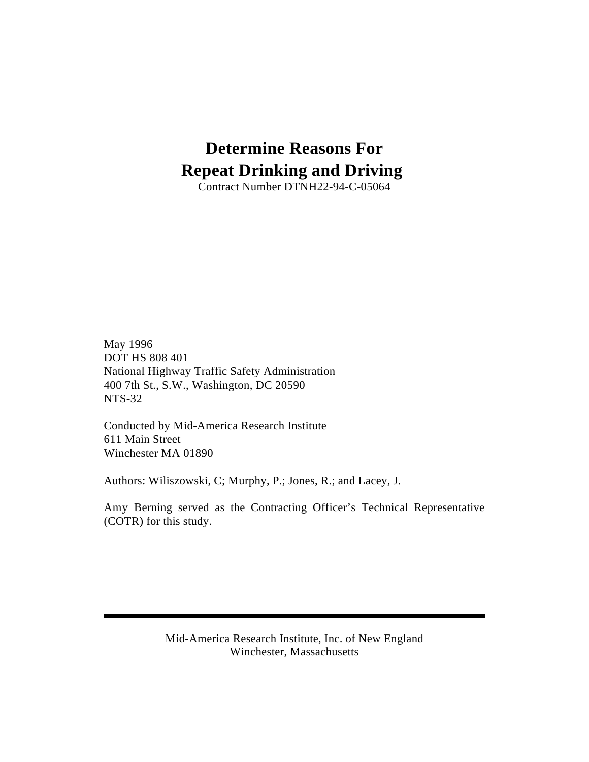# **Determine Reasons For Repeat Drinking and Driving**

Contract Number DTNH22-94-C-05064

May 1996 DOT HS 808 401 National Highway Traffic Safety Administration 400 7th St., S.W., Washington, DC 20590 NTS-32

Conducted by Mid-America Research Institute 611 Main Street Winchester MA 01890

Authors: Wiliszowski, C; Murphy, P.; Jones, R.; and Lacey, J.

Amy Berning served as the Contracting Officer's Technical Representative (COTR) for this study.

> Mid-America Research Institute, Inc. of New England Winchester, Massachusetts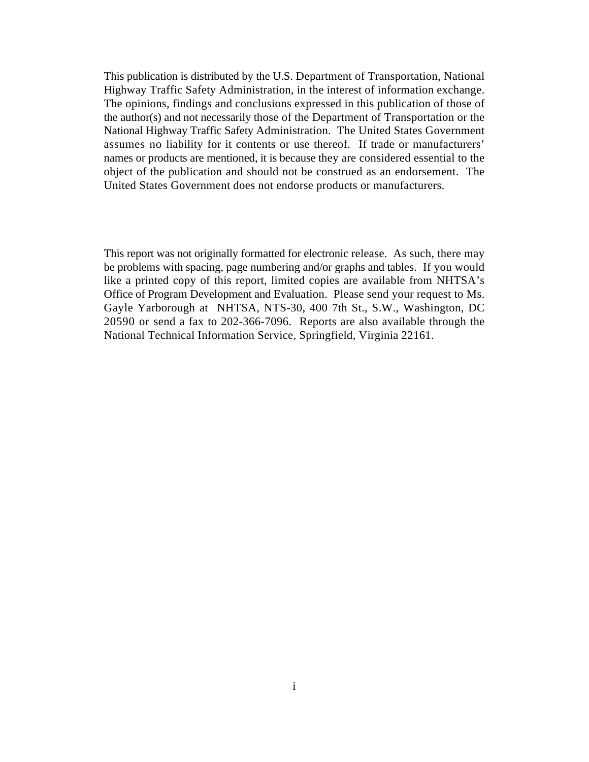This publication is distributed by the U.S. Department of Transportation, National Highway Traffic Safety Administration, in the interest of information exchange. The opinions, findings and conclusions expressed in this publication of those of the author(s) and not necessarily those of the Department of Transportation or the National Highway Traffic Safety Administration. The United States Government assumes no liability for it contents or use thereof. If trade or manufacturers' names or products are mentioned, it is because they are considered essential to the object of the publication and should not be construed as an endorsement. The United States Government does not endorse products or manufacturers.

This report was not originally formatted for electronic release. As such, there may be problems with spacing, page numbering and/or graphs and tables. If you would like a printed copy of this report, limited copies are available from NHTSA's Office of Program Development and Evaluation. Please send your request to Ms. Gayle Yarborough at NHTSA, NTS-30, 400 7th St., S.W., Washington, DC 20590 or send a fax to 202-366-7096. Reports are also available through the National Technical Information Service, Springfield, Virginia 22161.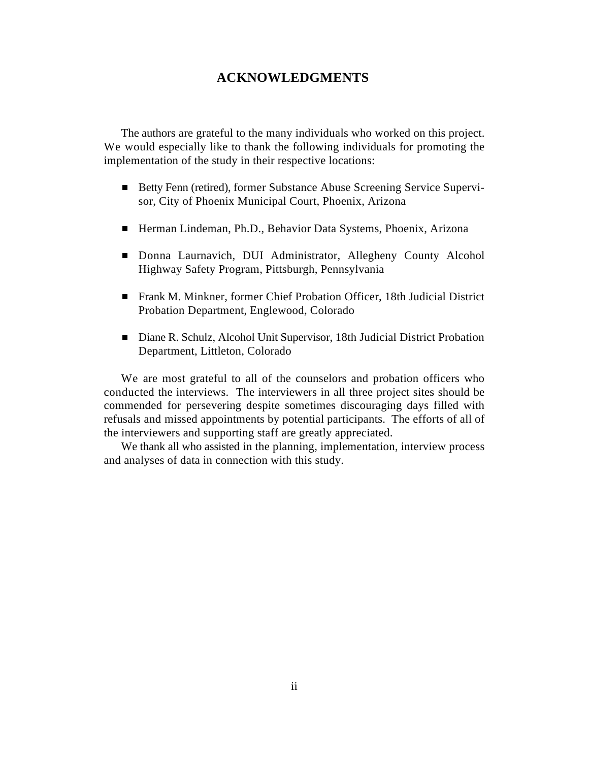## **ACKNOWLEDGMENTS**

The authors are grateful to the many individuals who worked on this project. We would especially like to thank the following individuals for promoting the implementation of the study in their respective locations:

- Betty Fenn (retired), former Substance Abuse Screening Service Supervisor, City of Phoenix Municipal Court, Phoenix, Arizona
- Herman Lindeman, Ph.D., Behavior Data Systems, Phoenix, Arizona
- Donna Laurnavich, DUI Administrator, Allegheny County Alcohol Highway Safety Program, Pittsburgh, Pennsylvania
- Frank M. Minkner, former Chief Probation Officer, 18th Judicial District Probation Department, Englewood, Colorado
- Diane R. Schulz, Alcohol Unit Supervisor, 18th Judicial District Probation Department, Littleton, Colorado

We are most grateful to all of the counselors and probation officers who conducted the interviews. The interviewers in all three project sites should be commended for persevering despite sometimes discouraging days filled with refusals and missed appointments by potential participants. The efforts of all of the interviewers and supporting staff are greatly appreciated.

We thank all who assisted in the planning, implementation, interview process and analyses of data in connection with this study.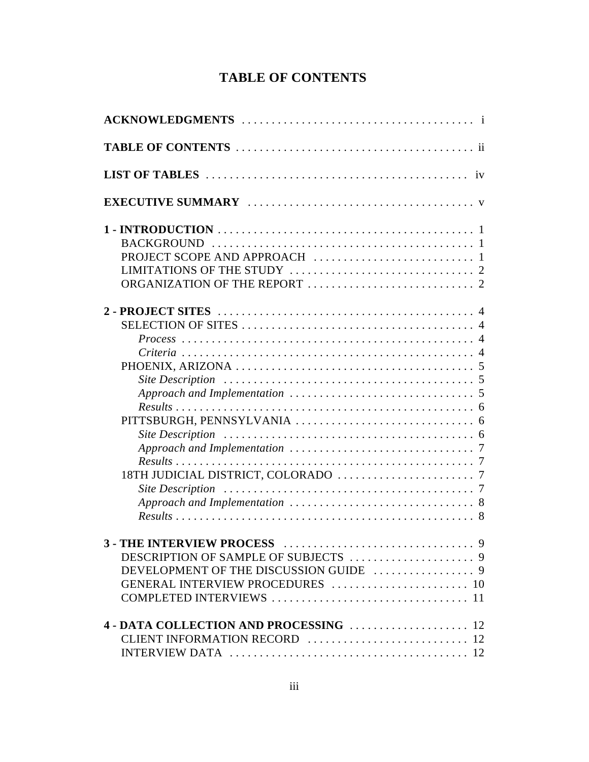## **TABLE OF CONTENTS**

| Site Description $\ldots \ldots \ldots \ldots \ldots \ldots \ldots \ldots \ldots \ldots \ldots \ldots \ldots$ |
|---------------------------------------------------------------------------------------------------------------|
| THE INTERVIEW PROCESS<br>$\ldots$ 9<br>GENERAL INTERVIEW PROCEDURES  10                                       |
|                                                                                                               |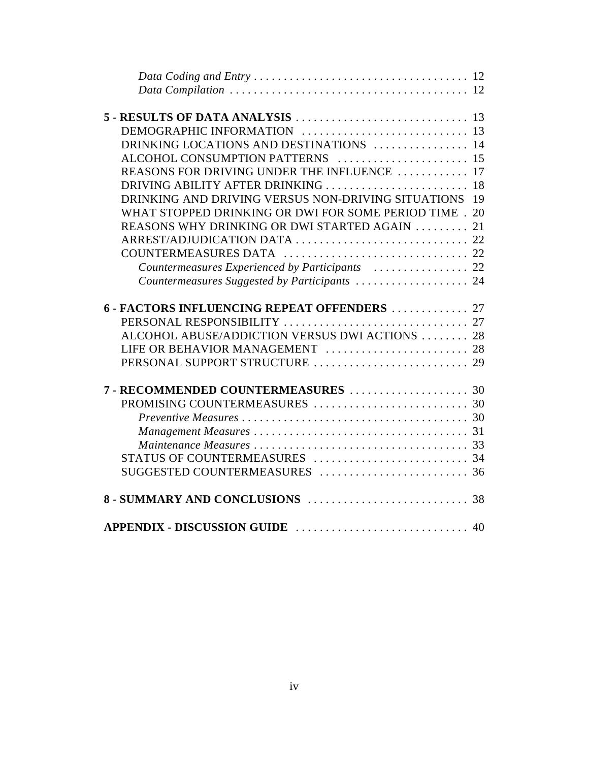| DRINKING LOCATIONS AND DESTINATIONS  14                |    |
|--------------------------------------------------------|----|
| ALCOHOL CONSUMPTION PATTERNS  15                       |    |
| REASONS FOR DRIVING UNDER THE INFLUENCE  17            |    |
| DRIVING ABILITY AFTER DRINKING  18                     |    |
| DRINKING AND DRIVING VERSUS NON-DRIVING SITUATIONS 19  |    |
| WHAT STOPPED DRINKING OR DWI FOR SOME PERIOD TIME . 20 |    |
| REASONS WHY DRINKING OR DWI STARTED AGAIN              | 21 |
|                                                        |    |
|                                                        |    |
| Countermeasures Experienced by Participants  22        |    |
| Countermeasures Suggested by Participants  24          |    |
|                                                        |    |
| 6 - FACTORS INFLUENCING REPEAT OFFENDERS  27           |    |
|                                                        |    |
| ALCOHOL ABUSE/ADDICTION VERSUS DWI ACTIONS  28         |    |
| LIFE OR BEHAVIOR MANAGEMENT  28                        |    |
|                                                        |    |
|                                                        |    |
| 7 - RECOMMENDED COUNTERMEASURES  30                    |    |
|                                                        |    |
|                                                        |    |
|                                                        |    |
|                                                        |    |
|                                                        |    |
|                                                        |    |
|                                                        |    |
|                                                        |    |
|                                                        |    |
|                                                        |    |
|                                                        |    |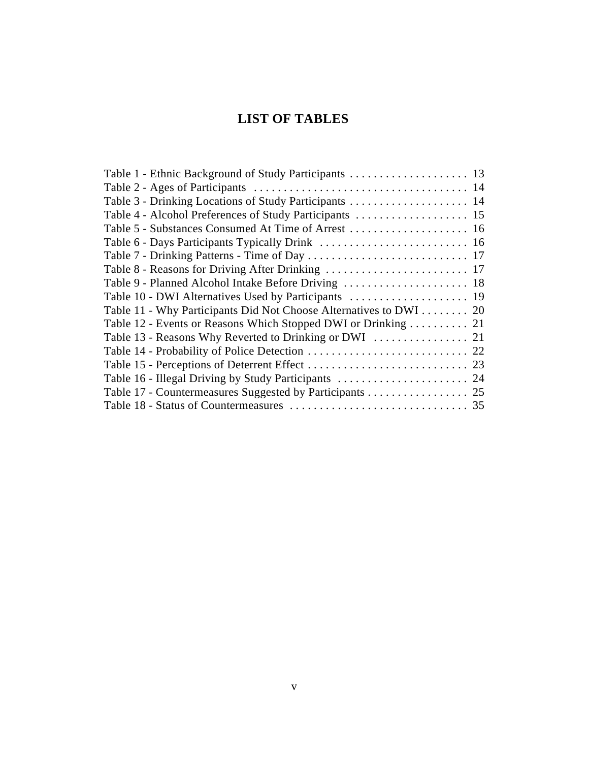## **LIST OF TABLES**

| Table 11 - Why Participants Did Not Choose Alternatives to DWI 20 |  |
|-------------------------------------------------------------------|--|
| Table 12 - Events or Reasons Which Stopped DWI or Drinking  21    |  |
|                                                                   |  |
|                                                                   |  |
|                                                                   |  |
|                                                                   |  |
| Table 17 - Countermeasures Suggested by Participants 25           |  |
|                                                                   |  |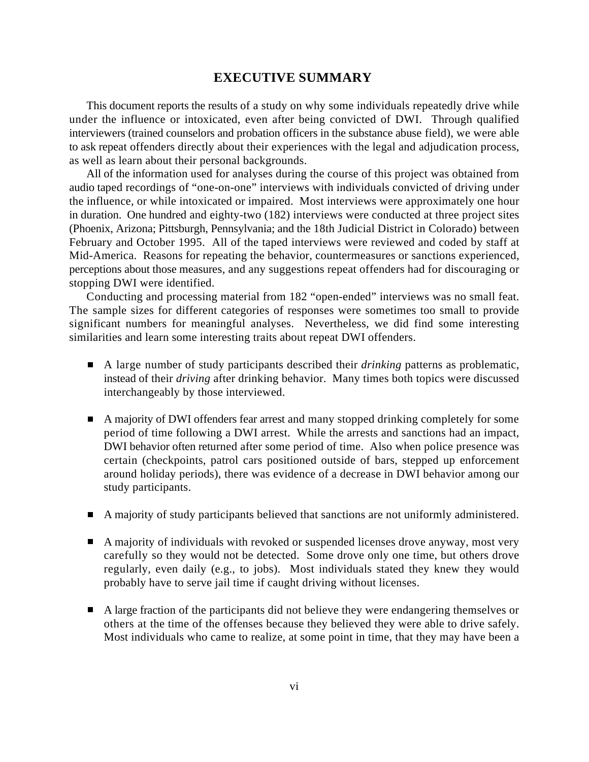## **EXECUTIVE SUMMARY**

This document reports the results of a study on why some individuals repeatedly drive while under the influence or intoxicated, even after being convicted of DWI. Through qualified interviewers (trained counselors and probation officers in the substance abuse field), we were able to ask repeat offenders directly about their experiences with the legal and adjudication process, as well as learn about their personal backgrounds.

All of the information used for analyses during the course of this project was obtained from audio taped recordings of "one-on-one" interviews with individuals convicted of driving under the influence, or while intoxicated or impaired. Most interviews were approximately one hour in duration. One hundred and eighty-two (182) interviews were conducted at three project sites (Phoenix, Arizona; Pittsburgh, Pennsylvania; and the 18th Judicial District in Colorado) between February and October 1995. All of the taped interviews were reviewed and coded by staff at Mid-America. Reasons for repeating the behavior, countermeasures or sanctions experienced, perceptions about those measures, and any suggestions repeat offenders had for discouraging or stopping DWI were identified.

Conducting and processing material from 182 "open-ended" interviews was no small feat. The sample sizes for different categories of responses were sometimes too small to provide significant numbers for meaningful analyses. Nevertheless, we did find some interesting similarities and learn some interesting traits about repeat DWI offenders.

- A large number of study participants described their *drinking* patterns as problematic, instead of their *driving* after drinking behavior. Many times both topics were discussed interchangeably by those interviewed.
- A majority of DWI offenders fear arrest and many stopped drinking completely for some period of time following a DWI arrest. While the arrests and sanctions had an impact, DWI behavior often returned after some period of time. Also when police presence was certain (checkpoints, patrol cars positioned outside of bars, stepped up enforcement around holiday periods), there was evidence of a decrease in DWI behavior among our study participants.
- A majority of study participants believed that sanctions are not uniformly administered.
- A majority of individuals with revoked or suspended licenses drove anyway, most very carefully so they would not be detected. Some drove only one time, but others drove regularly, even daily (e.g., to jobs). Most individuals stated they knew they would probably have to serve jail time if caught driving without licenses.
- A large fraction of the participants did not believe they were endangering themselves or others at the time of the offenses because they believed they were able to drive safely. Most individuals who came to realize, at some point in time, that they may have been a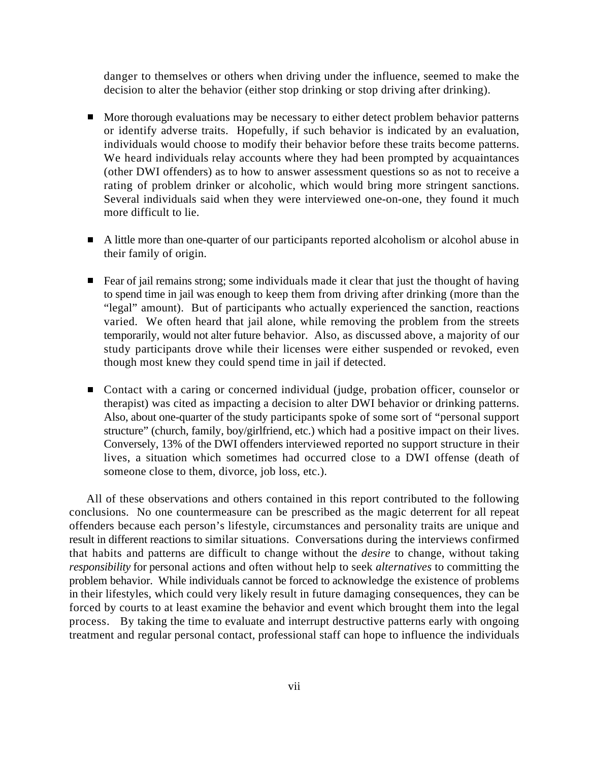danger to themselves or others when driving under the influence, seemed to make the decision to alter the behavior (either stop drinking or stop driving after drinking).

- More thorough evaluations may be necessary to either detect problem behavior patterns or identify adverse traits. Hopefully, if such behavior is indicated by an evaluation, individuals would choose to modify their behavior before these traits become patterns. We heard individuals relay accounts where they had been prompted by acquaintances (other DWI offenders) as to how to answer assessment questions so as not to receive a rating of problem drinker or alcoholic, which would bring more stringent sanctions. Several individuals said when they were interviewed one-on-one, they found it much more difficult to lie.
- A little more than one-quarter of our participants reported alcoholism or alcohol abuse in their family of origin.
- Fear of jail remains strong; some individuals made it clear that just the thought of having to spend time in jail was enough to keep them from driving after drinking (more than the "legal" amount). But of participants who actually experienced the sanction, reactions varied. We often heard that jail alone, while removing the problem from the streets temporarily, would not alter future behavior. Also, as discussed above, a majority of our study participants drove while their licenses were either suspended or revoked, even though most knew they could spend time in jail if detected.
- Contact with a caring or concerned individual (judge, probation officer, counselor or therapist) was cited as impacting a decision to alter DWI behavior or drinking patterns. Also, about one-quarter of the study participants spoke of some sort of "personal support structure" (church, family, boy/girlfriend, etc.) which had a positive impact on their lives. Conversely, 13% of the DWI offenders interviewed reported no support structure in their lives, a situation which sometimes had occurred close to a DWI offense (death of someone close to them, divorce, job loss, etc.).

All of these observations and others contained in this report contributed to the following conclusions. No one countermeasure can be prescribed as the magic deterrent for all repeat offenders because each person's lifestyle, circumstances and personality traits are unique and result in different reactions to similar situations. Conversations during the interviews confirmed that habits and patterns are difficult to change without the *desire* to change, without taking *responsibility* for personal actions and often without help to seek *alternatives* to committing the problem behavior. While individuals cannot be forced to acknowledge the existence of problems in their lifestyles, which could very likely result in future damaging consequences, they can be forced by courts to at least examine the behavior and event which brought them into the legal process. By taking the time to evaluate and interrupt destructive patterns early with ongoing treatment and regular personal contact, professional staff can hope to influence the individuals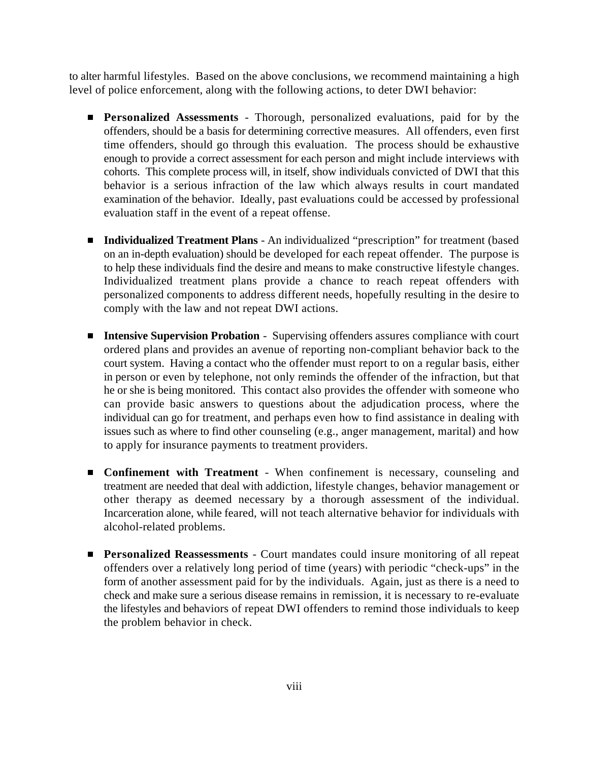to alter harmful lifestyles. Based on the above conclusions, we recommend maintaining a high level of police enforcement, along with the following actions, to deter DWI behavior:

- **Personalized Assessments** Thorough, personalized evaluations, paid for by the offenders, should be a basis for determining corrective measures. All offenders, even first time offenders, should go through this evaluation. The process should be exhaustive enough to provide a correct assessment for each person and might include interviews with cohorts. This complete process will, in itself, show individuals convicted of DWI that this behavior is a serious infraction of the law which always results in court mandated examination of the behavior. Ideally, past evaluations could be accessed by professional evaluation staff in the event of a repeat offense.
- **Individualized Treatment Plans** An individualized "prescription" for treatment (based on an in-depth evaluation) should be developed for each repeat offender. The purpose is to help these individuals find the desire and means to make constructive lifestyle changes. Individualized treatment plans provide a chance to reach repeat offenders with personalized components to address different needs, hopefully resulting in the desire to comply with the law and not repeat DWI actions.
- **Intensive Supervision Probation** Supervising offenders assures compliance with court ordered plans and provides an avenue of reporting non-compliant behavior back to the court system. Having a contact who the offender must report to on a regular basis, either in person or even by telephone, not only reminds the offender of the infraction, but that he or she is being monitored. This contact also provides the offender with someone who can provide basic answers to questions about the adjudication process, where the individual can go for treatment, and perhaps even how to find assistance in dealing with issues such as where to find other counseling (e.g., anger management, marital) and how to apply for insurance payments to treatment providers.
- **Confinement with Treatment** When confinement is necessary, counseling and treatment are needed that deal with addiction, lifestyle changes, behavior management or other therapy as deemed necessary by a thorough assessment of the individual. Incarceration alone, while feared, will not teach alternative behavior for individuals with alcohol-related problems.
- **Personalized Reassessments** Court mandates could insure monitoring of all repeat offenders over a relatively long period of time (years) with periodic "check-ups" in the form of another assessment paid for by the individuals. Again, just as there is a need to check and make sure a serious disease remains in remission, it is necessary to re-evaluate the lifestyles and behaviors of repeat DWI offenders to remind those individuals to keep the problem behavior in check.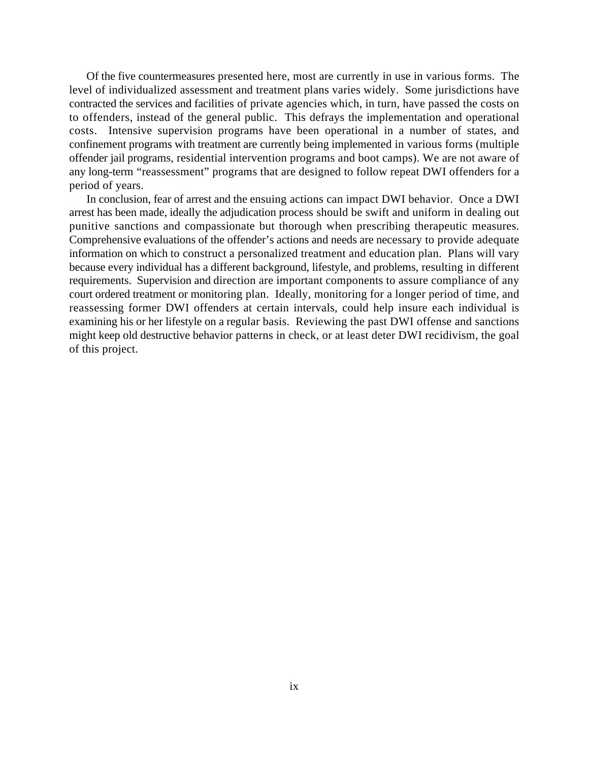Of the five countermeasures presented here, most are currently in use in various forms. The level of individualized assessment and treatment plans varies widely. Some jurisdictions have contracted the services and facilities of private agencies which, in turn, have passed the costs on to offenders, instead of the general public. This defrays the implementation and operational costs. Intensive supervision programs have been operational in a number of states, and confinement programs with treatment are currently being implemented in various forms (multiple offender jail programs, residential intervention programs and boot camps). We are not aware of any long-term "reassessment" programs that are designed to follow repeat DWI offenders for a period of years.

In conclusion, fear of arrest and the ensuing actions can impact DWI behavior. Once a DWI arrest has been made, ideally the adjudication process should be swift and uniform in dealing out punitive sanctions and compassionate but thorough when prescribing therapeutic measures. Comprehensive evaluations of the offender's actions and needs are necessary to provide adequate information on which to construct a personalized treatment and education plan. Plans will vary because every individual has a different background, lifestyle, and problems, resulting in different requirements. Supervision and direction are important components to assure compliance of any court ordered treatment or monitoring plan. Ideally, monitoring for a longer period of time, and reassessing former DWI offenders at certain intervals, could help insure each individual is examining his or her lifestyle on a regular basis. Reviewing the past DWI offense and sanctions might keep old destructive behavior patterns in check, or at least deter DWI recidivism, the goal of this project.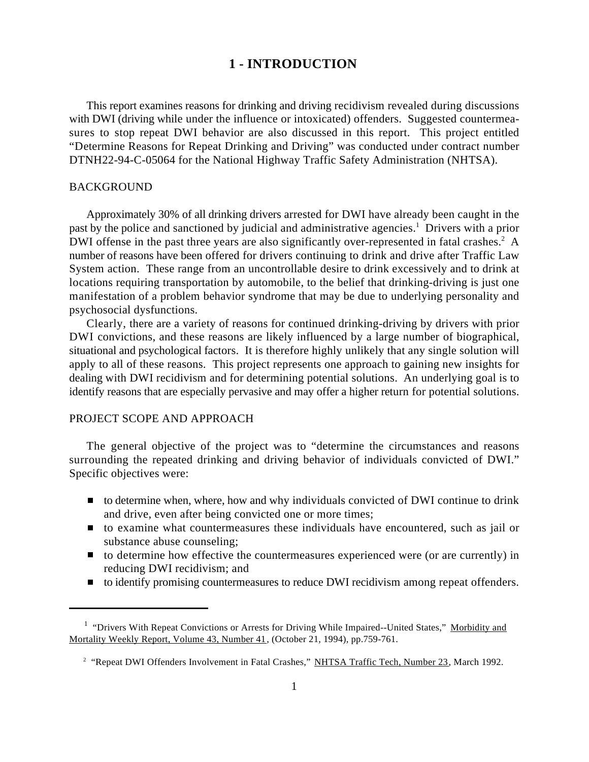## **1 - INTRODUCTION**

This report examines reasons for drinking and driving recidivism revealed during discussions with DWI (driving while under the influence or intoxicated) offenders. Suggested countermeasures to stop repeat DWI behavior are also discussed in this report. This project entitled "Determine Reasons for Repeat Drinking and Driving" was conducted under contract number DTNH22-94-C-05064 for the National Highway Traffic Safety Administration (NHTSA).

## BACKGROUND

Approximately 30% of all drinking drivers arrested for DWI have already been caught in the past by the police and sanctioned by judicial and administrative agencies.<sup>1</sup> Drivers with a prior DWI offense in the past three years are also significantly over-represented in fatal crashes.<sup>2</sup> A number of reasons have been offered for drivers continuing to drink and drive after Traffic Law System action. These range from an uncontrollable desire to drink excessively and to drink at locations requiring transportation by automobile, to the belief that drinking-driving is just one manifestation of a problem behavior syndrome that may be due to underlying personality and psychosocial dysfunctions.

Clearly, there are a variety of reasons for continued drinking-driving by drivers with prior DWI convictions, and these reasons are likely influenced by a large number of biographical, situational and psychological factors. It is therefore highly unlikely that any single solution will apply to all of these reasons. This project represents one approach to gaining new insights for dealing with DWI recidivism and for determining potential solutions. An underlying goal is to identify reasons that are especially pervasive and may offer a higher return for potential solutions.

## PROJECT SCOPE AND APPROACH

The general objective of the project was to "determine the circumstances and reasons surrounding the repeated drinking and driving behavior of individuals convicted of DWI." Specific objectives were:

- $\blacksquare$  to determine when, where, how and why individuals convicted of DWI continue to drink and drive, even after being convicted one or more times;
- to examine what countermeasures these individuals have encountered, such as jail or substance abuse counseling;
- $\blacksquare$  to determine how effective the countermeasures experienced were (or are currently) in reducing DWI recidivism; and
- to identify promising countermeasures to reduce DWI recidivism among repeat offenders.

<sup>&</sup>lt;sup>1</sup> "Drivers With Repeat Convictions or Arrests for Driving While Impaired--United States," Morbidity and Mortality Weekly Report, Volume 43, Number 41, (October 21, 1994), pp.759-761.

<sup>&</sup>lt;sup>2</sup> "Repeat DWI Offenders Involvement in Fatal Crashes," NHTSA Traffic Tech, Number 23, March 1992.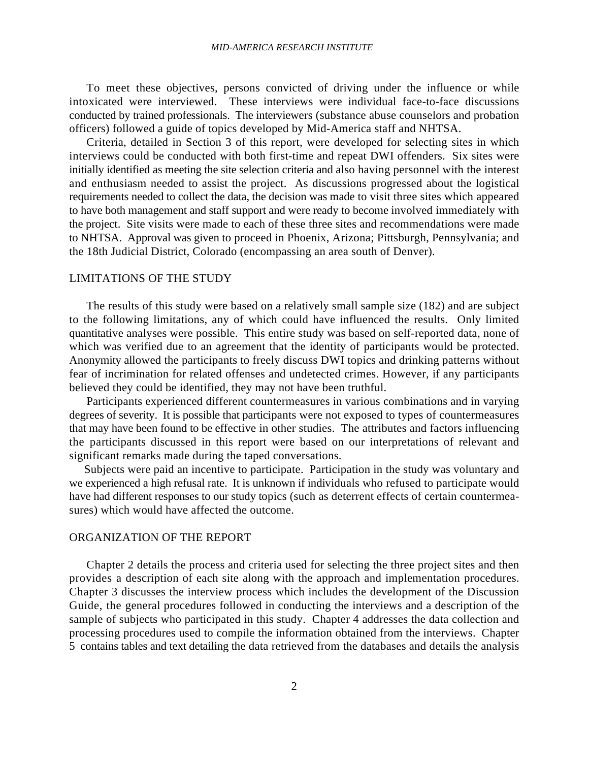#### *MID-AMERICA RESEARCH INSTITUTE*

To meet these objectives, persons convicted of driving under the influence or while intoxicated were interviewed. These interviews were individual face-to-face discussions conducted by trained professionals. The interviewers (substance abuse counselors and probation officers) followed a guide of topics developed by Mid-America staff and NHTSA.

Criteria, detailed in Section 3 of this report, were developed for selecting sites in which interviews could be conducted with both first-time and repeat DWI offenders. Six sites were initially identified as meeting the site selection criteria and also having personnel with the interest and enthusiasm needed to assist the project. As discussions progressed about the logistical requirements needed to collect the data, the decision was made to visit three sites which appeared to have both management and staff support and were ready to become involved immediately with the project. Site visits were made to each of these three sites and recommendations were made to NHTSA. Approval was given to proceed in Phoenix, Arizona; Pittsburgh, Pennsylvania; and the 18th Judicial District, Colorado (encompassing an area south of Denver).

#### LIMITATIONS OF THE STUDY

The results of this study were based on a relatively small sample size (182) and are subject to the following limitations, any of which could have influenced the results. Only limited quantitative analyses were possible. This entire study was based on self-reported data, none of which was verified due to an agreement that the identity of participants would be protected. Anonymity allowed the participants to freely discuss DWI topics and drinking patterns without fear of incrimination for related offenses and undetected crimes. However, if any participants believed they could be identified, they may not have been truthful.

Participants experienced different countermeasures in various combinations and in varying degrees of severity. It is possible that participants were not exposed to types of countermeasures that may have been found to be effective in other studies. The attributes and factors influencing the participants discussed in this report were based on our interpretations of relevant and significant remarks made during the taped conversations.

 Subjects were paid an incentive to participate. Participation in the study was voluntary and we experienced a high refusal rate. It is unknown if individuals who refused to participate would have had different responses to our study topics (such as deterrent effects of certain countermeasures) which would have affected the outcome.

## ORGANIZATION OF THE REPORT

Chapter 2 details the process and criteria used for selecting the three project sites and then provides a description of each site along with the approach and implementation procedures. Chapter 3 discusses the interview process which includes the development of the Discussion Guide, the general procedures followed in conducting the interviews and a description of the sample of subjects who participated in this study. Chapter 4 addresses the data collection and processing procedures used to compile the information obtained from the interviews. Chapter 5 contains tables and text detailing the data retrieved from the databases and details the analysis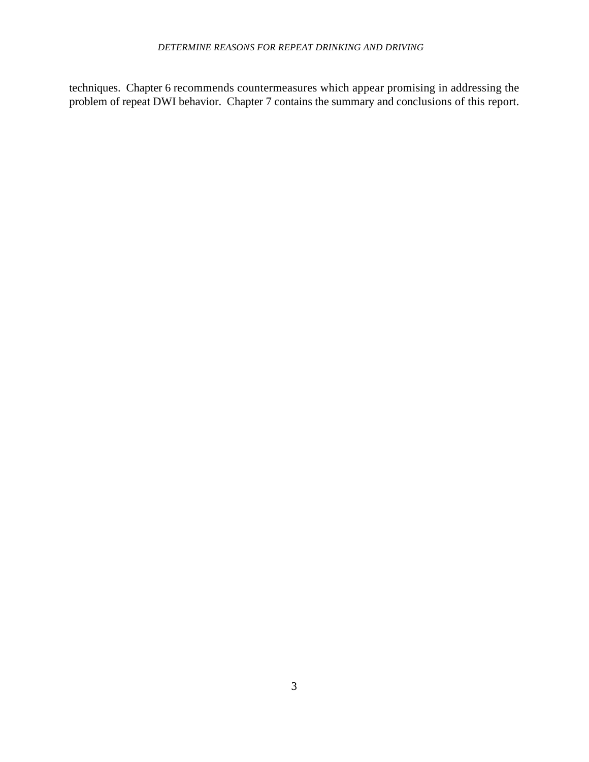## *DETERMINE REASONS FOR REPEAT DRINKING AND DRIVING*

techniques. Chapter 6 recommends countermeasures which appear promising in addressing the problem of repeat DWI behavior. Chapter 7 contains the summary and conclusions of this report.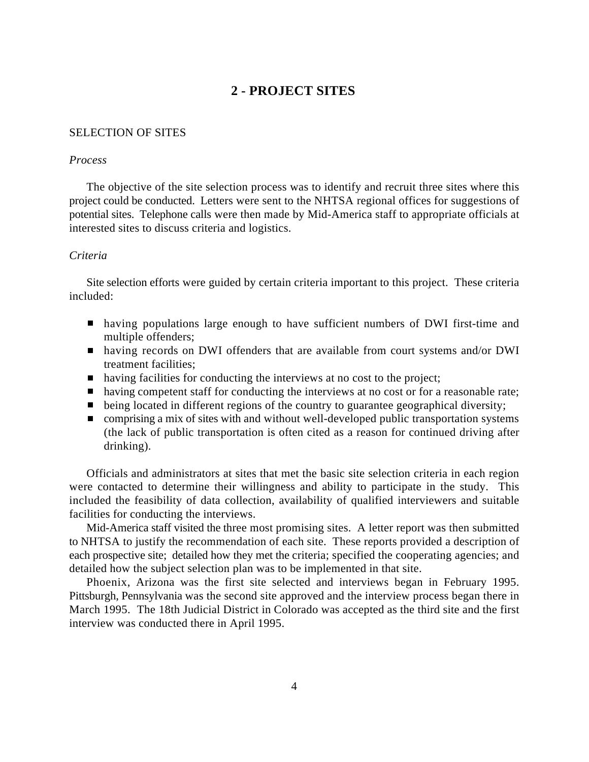## **2 - PROJECT SITES**

## SELECTION OF SITES

#### *Process*

The objective of the site selection process was to identify and recruit three sites where this project could be conducted. Letters were sent to the NHTSA regional offices for suggestions of potential sites. Telephone calls were then made by Mid-America staff to appropriate officials at interested sites to discuss criteria and logistics.

## *Criteria*

Site selection efforts were guided by certain criteria important to this project. These criteria included:

- having populations large enough to have sufficient numbers of DWI first-time and multiple offenders;
- having records on DWI offenders that are available from court systems and/or DWI treatment facilities;
- having facilities for conducting the interviews at no cost to the project;
- having competent staff for conducting the interviews at no cost or for a reasonable rate;
- being located in different regions of the country to guarantee geographical diversity;
- $\blacksquare$  comprising a mix of sites with and without well-developed public transportation systems (the lack of public transportation is often cited as a reason for continued driving after drinking).

Officials and administrators at sites that met the basic site selection criteria in each region were contacted to determine their willingness and ability to participate in the study. This included the feasibility of data collection, availability of qualified interviewers and suitable facilities for conducting the interviews.

Mid-America staff visited the three most promising sites. A letter report was then submitted to NHTSA to justify the recommendation of each site. These reports provided a description of each prospective site; detailed how they met the criteria; specified the cooperating agencies; and detailed how the subject selection plan was to be implemented in that site.

Phoenix, Arizona was the first site selected and interviews began in February 1995. Pittsburgh, Pennsylvania was the second site approved and the interview process began there in March 1995. The 18th Judicial District in Colorado was accepted as the third site and the first interview was conducted there in April 1995.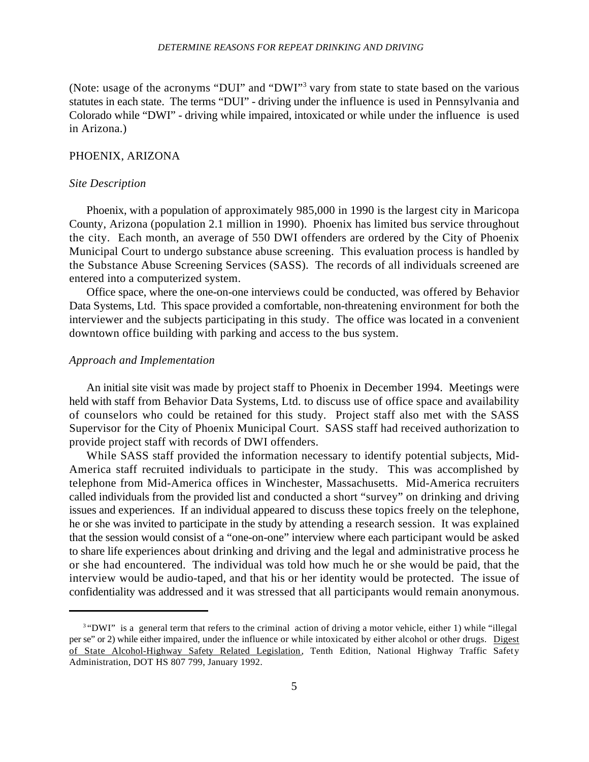#### *DETERMINE REASONS FOR REPEAT DRINKING AND DRIVING*

(Note: usage of the acronyms "DUI" and "DWI"<sup>3</sup> vary from state to state based on the various statutes in each state. The terms "DUI" - driving under the influence is used in Pennsylvania and Colorado while "DWI" - driving while impaired, intoxicated or while under the influence is used in Arizona.)

## PHOENIX, ARIZONA

#### *Site Description*

Phoenix, with a population of approximately 985,000 in 1990 is the largest city in Maricopa County, Arizona (population 2.1 million in 1990). Phoenix has limited bus service throughout the city. Each month, an average of 550 DWI offenders are ordered by the City of Phoenix Municipal Court to undergo substance abuse screening. This evaluation process is handled by the Substance Abuse Screening Services (SASS). The records of all individuals screened are entered into a computerized system.

Office space, where the one-on-one interviews could be conducted, was offered by Behavior Data Systems, Ltd. This space provided a comfortable, non-threatening environment for both the interviewer and the subjects participating in this study. The office was located in a convenient downtown office building with parking and access to the bus system.

#### *Approach and Implementation*

An initial site visit was made by project staff to Phoenix in December 1994. Meetings were held with staff from Behavior Data Systems, Ltd. to discuss use of office space and availability of counselors who could be retained for this study. Project staff also met with the SASS Supervisor for the City of Phoenix Municipal Court. SASS staff had received authorization to provide project staff with records of DWI offenders.

While SASS staff provided the information necessary to identify potential subjects, Mid-America staff recruited individuals to participate in the study. This was accomplished by telephone from Mid-America offices in Winchester, Massachusetts. Mid-America recruiters called individuals from the provided list and conducted a short "survey" on drinking and driving issues and experiences. If an individual appeared to discuss these topics freely on the telephone, he or she was invited to participate in the study by attending a research session. It was explained that the session would consist of a "one-on-one" interview where each participant would be asked to share life experiences about drinking and driving and the legal and administrative process he or she had encountered. The individual was told how much he or she would be paid, that the interview would be audio-taped, and that his or her identity would be protected. The issue of confidentiality was addressed and it was stressed that all participants would remain anonymous.

<sup>&</sup>lt;sup>3</sup>"DWI" is a general term that refers to the criminal action of driving a motor vehicle, either 1) while "illegal per se" or 2) while either impaired, under the influence or while intoxicated by either alcohol or other drugs. Digest of State Alcohol-Highway Safety Related Legislation, Tenth Edition, National Highway Traffic Safety Administration, DOT HS 807 799, January 1992.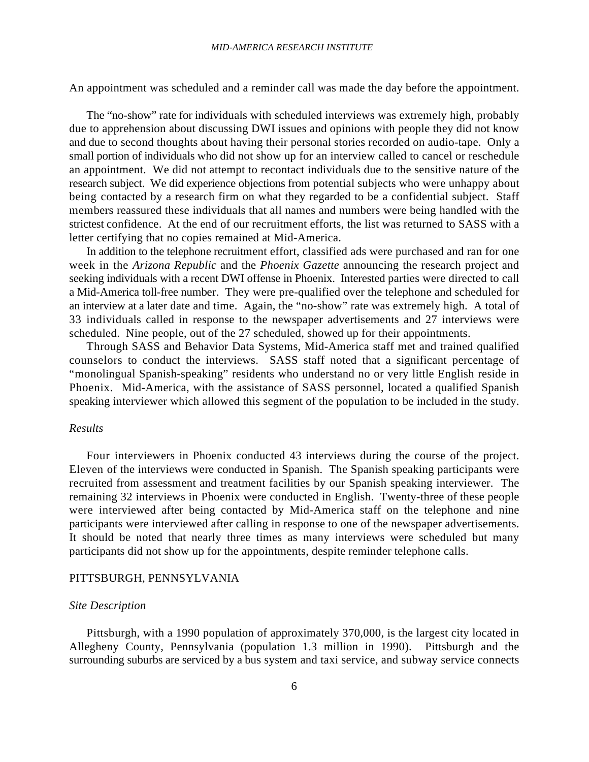An appointment was scheduled and a reminder call was made the day before the appointment.

The "no-show" rate for individuals with scheduled interviews was extremely high, probably due to apprehension about discussing DWI issues and opinions with people they did not know and due to second thoughts about having their personal stories recorded on audio-tape. Only a small portion of individuals who did not show up for an interview called to cancel or reschedule an appointment. We did not attempt to recontact individuals due to the sensitive nature of the research subject. We did experience objections from potential subjects who were unhappy about being contacted by a research firm on what they regarded to be a confidential subject. Staff members reassured these individuals that all names and numbers were being handled with the strictest confidence. At the end of our recruitment efforts, the list was returned to SASS with a letter certifying that no copies remained at Mid-America.

In addition to the telephone recruitment effort, classified ads were purchased and ran for one week in the *Arizona Republic* and the *Phoenix Gazette* announcing the research project and seeking individuals with a recent DWI offense in Phoenix. Interested parties were directed to call a Mid-America toll-free number. They were pre-qualified over the telephone and scheduled for an interview at a later date and time. Again, the "no-show" rate was extremely high. A total of 33 individuals called in response to the newspaper advertisements and 27 interviews were scheduled. Nine people, out of the 27 scheduled, showed up for their appointments.

Through SASS and Behavior Data Systems, Mid-America staff met and trained qualified counselors to conduct the interviews. SASS staff noted that a significant percentage of "monolingual Spanish-speaking" residents who understand no or very little English reside in Phoenix. Mid-America, with the assistance of SASS personnel, located a qualified Spanish speaking interviewer which allowed this segment of the population to be included in the study.

#### *Results*

Four interviewers in Phoenix conducted 43 interviews during the course of the project. Eleven of the interviews were conducted in Spanish. The Spanish speaking participants were recruited from assessment and treatment facilities by our Spanish speaking interviewer. The remaining 32 interviews in Phoenix were conducted in English. Twenty-three of these people were interviewed after being contacted by Mid-America staff on the telephone and nine participants were interviewed after calling in response to one of the newspaper advertisements. It should be noted that nearly three times as many interviews were scheduled but many participants did not show up for the appointments, despite reminder telephone calls.

## PITTSBURGH, PENNSYLVANIA

#### *Site Description*

Pittsburgh, with a 1990 population of approximately 370,000, is the largest city located in Allegheny County, Pennsylvania (population 1.3 million in 1990). Pittsburgh and the surrounding suburbs are serviced by a bus system and taxi service, and subway service connects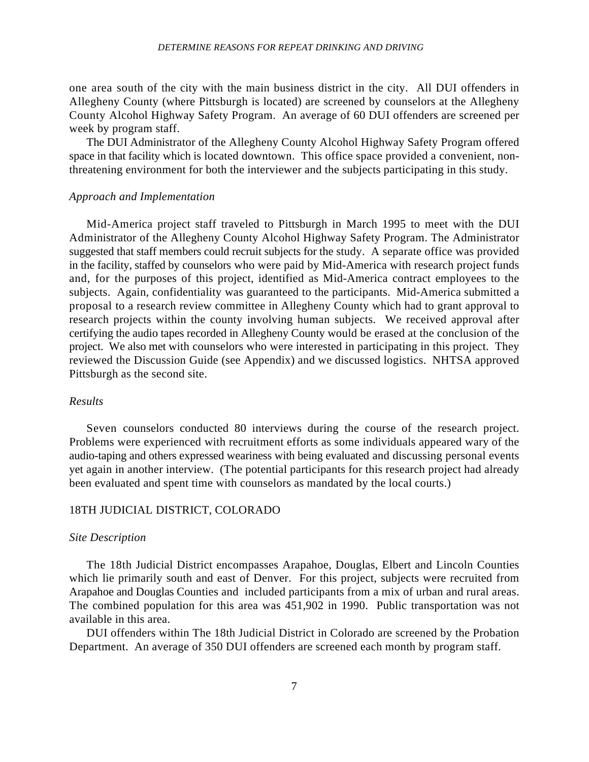#### *DETERMINE REASONS FOR REPEAT DRINKING AND DRIVING*

one area south of the city with the main business district in the city. All DUI offenders in Allegheny County (where Pittsburgh is located) are screened by counselors at the Allegheny County Alcohol Highway Safety Program. An average of 60 DUI offenders are screened per week by program staff.

The DUI Administrator of the Allegheny County Alcohol Highway Safety Program offered space in that facility which is located downtown. This office space provided a convenient, nonthreatening environment for both the interviewer and the subjects participating in this study.

## *Approach and Implementation*

Mid-America project staff traveled to Pittsburgh in March 1995 to meet with the DUI Administrator of the Allegheny County Alcohol Highway Safety Program. The Administrator suggested that staff members could recruit subjects for the study. A separate office was provided in the facility, staffed by counselors who were paid by Mid-America with research project funds and, for the purposes of this project, identified as Mid-America contract employees to the subjects. Again, confidentiality was guaranteed to the participants. Mid-America submitted a proposal to a research review committee in Allegheny County which had to grant approval to research projects within the county involving human subjects. We received approval after certifying the audio tapes recorded in Allegheny County would be erased at the conclusion of the project. We also met with counselors who were interested in participating in this project. They reviewed the Discussion Guide (see Appendix) and we discussed logistics. NHTSA approved Pittsburgh as the second site.

#### *Results*

Seven counselors conducted 80 interviews during the course of the research project. Problems were experienced with recruitment efforts as some individuals appeared wary of the audio-taping and others expressed weariness with being evaluated and discussing personal events yet again in another interview. (The potential participants for this research project had already been evaluated and spent time with counselors as mandated by the local courts.)

## 18TH JUDICIAL DISTRICT, COLORADO

#### *Site Description*

The 18th Judicial District encompasses Arapahoe, Douglas, Elbert and Lincoln Counties which lie primarily south and east of Denver. For this project, subjects were recruited from Arapahoe and Douglas Counties and included participants from a mix of urban and rural areas. The combined population for this area was 451,902 in 1990. Public transportation was not available in this area.

DUI offenders within The 18th Judicial District in Colorado are screened by the Probation Department. An average of 350 DUI offenders are screened each month by program staff.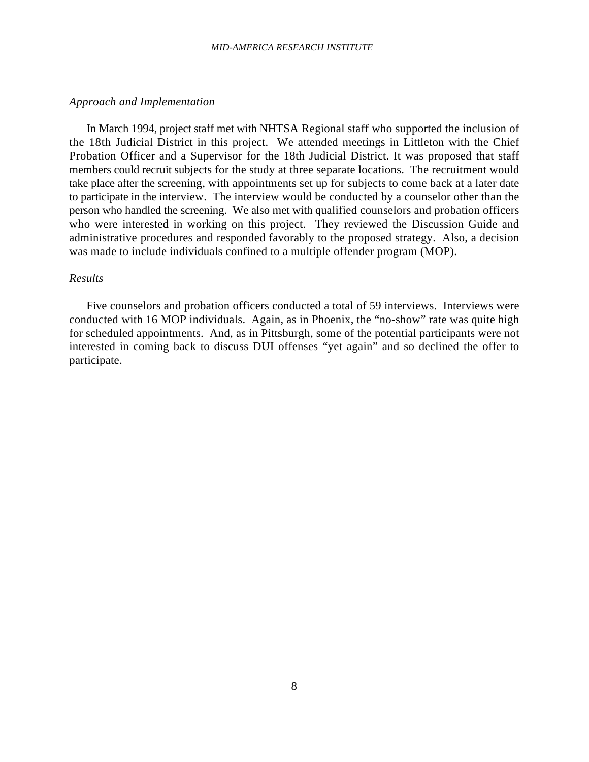#### *MID-AMERICA RESEARCH INSTITUTE*

#### *Approach and Implementation*

In March 1994, project staff met with NHTSA Regional staff who supported the inclusion of the 18th Judicial District in this project. We attended meetings in Littleton with the Chief Probation Officer and a Supervisor for the 18th Judicial District. It was proposed that staff members could recruit subjects for the study at three separate locations. The recruitment would take place after the screening, with appointments set up for subjects to come back at a later date to participate in the interview. The interview would be conducted by a counselor other than the person who handled the screening. We also met with qualified counselors and probation officers who were interested in working on this project. They reviewed the Discussion Guide and administrative procedures and responded favorably to the proposed strategy. Also, a decision was made to include individuals confined to a multiple offender program (MOP).

#### *Results*

Five counselors and probation officers conducted a total of 59 interviews. Interviews were conducted with 16 MOP individuals. Again, as in Phoenix, the "no-show" rate was quite high for scheduled appointments. And, as in Pittsburgh, some of the potential participants were not interested in coming back to discuss DUI offenses "yet again" and so declined the offer to participate.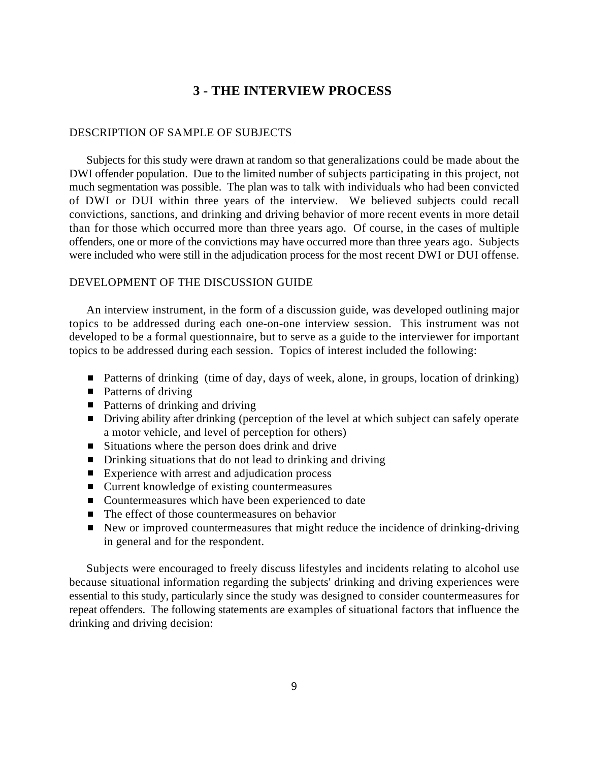## **3 - THE INTERVIEW PROCESS**

## DESCRIPTION OF SAMPLE OF SUBJECTS

Subjects for this study were drawn at random so that generalizations could be made about the DWI offender population. Due to the limited number of subjects participating in this project, not much segmentation was possible. The plan was to talk with individuals who had been convicted of DWI or DUI within three years of the interview. We believed subjects could recall convictions, sanctions, and drinking and driving behavior of more recent events in more detail than for those which occurred more than three years ago. Of course, in the cases of multiple offenders, one or more of the convictions may have occurred more than three years ago. Subjects were included who were still in the adjudication process for the most recent DWI or DUI offense.

## DEVELOPMENT OF THE DISCUSSION GUIDE

An interview instrument, in the form of a discussion guide, was developed outlining major topics to be addressed during each one-on-one interview session. This instrument was not developed to be a formal questionnaire, but to serve as a guide to the interviewer for important topics to be addressed during each session. Topics of interest included the following:

- Patterns of drinking (time of day, days of week, alone, in groups, location of drinking)
- Patterns of driving
- Patterns of drinking and driving
- Driving ability after drinking (perception of the level at which subject can safely operate a motor vehicle, and level of perception for others)
- $\blacksquare$  Situations where the person does drink and drive
- Drinking situations that do not lead to drinking and driving
- Experience with arrest and adjudication process
- Current knowledge of existing countermeasures
- Countermeasures which have been experienced to date
- The effect of those countermeasures on behavior
- New or improved countermeasures that might reduce the incidence of drinking-driving in general and for the respondent.

Subjects were encouraged to freely discuss lifestyles and incidents relating to alcohol use because situational information regarding the subjects' drinking and driving experiences were essential to this study, particularly since the study was designed to consider countermeasures for repeat offenders. The following statements are examples of situational factors that influence the drinking and driving decision: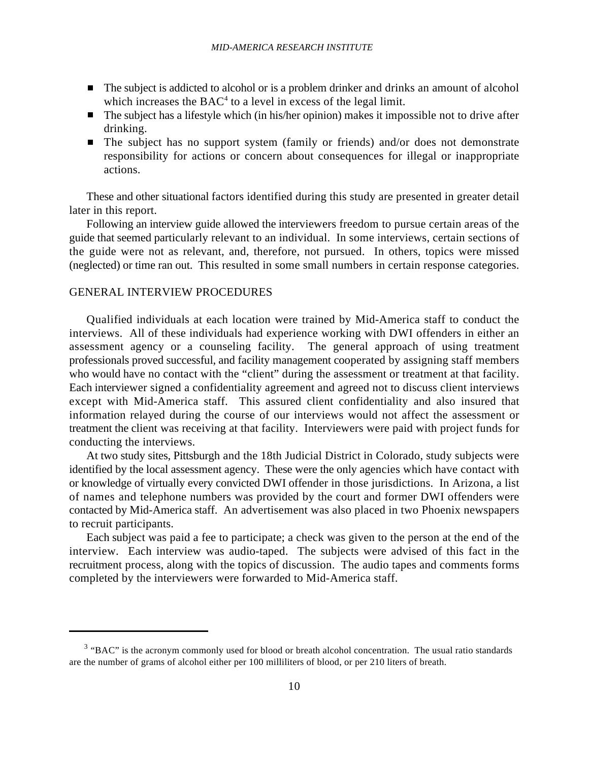- The subject is addicted to alcohol or is a problem drinker and drinks an amount of alcohol which increases the  $BAC<sup>4</sup>$  to a level in excess of the legal limit.
- $\blacksquare$  The subject has a lifestyle which (in his/her opinion) makes it impossible not to drive after drinking.
- The subject has no support system (family or friends) and/or does not demonstrate responsibility for actions or concern about consequences for illegal or inappropriate actions.

These and other situational factors identified during this study are presented in greater detail later in this report.

Following an interview guide allowed the interviewers freedom to pursue certain areas of the guide that seemed particularly relevant to an individual. In some interviews, certain sections of the guide were not as relevant, and, therefore, not pursued. In others, topics were missed (neglected) or time ran out. This resulted in some small numbers in certain response categories.

## GENERAL INTERVIEW PROCEDURES

Qualified individuals at each location were trained by Mid-America staff to conduct the interviews. All of these individuals had experience working with DWI offenders in either an assessment agency or a counseling facility. The general approach of using treatment professionals proved successful, and facility management cooperated by assigning staff members who would have no contact with the "client" during the assessment or treatment at that facility. Each interviewer signed a confidentiality agreement and agreed not to discuss client interviews except with Mid-America staff. This assured client confidentiality and also insured that information relayed during the course of our interviews would not affect the assessment or treatment the client was receiving at that facility. Interviewers were paid with project funds for conducting the interviews.

At two study sites, Pittsburgh and the 18th Judicial District in Colorado, study subjects were identified by the local assessment agency. These were the only agencies which have contact with or knowledge of virtually every convicted DWI offender in those jurisdictions. In Arizona, a list of names and telephone numbers was provided by the court and former DWI offenders were contacted by Mid-America staff. An advertisement was also placed in two Phoenix newspapers to recruit participants.

Each subject was paid a fee to participate; a check was given to the person at the end of the interview. Each interview was audio-taped. The subjects were advised of this fact in the recruitment process, along with the topics of discussion. The audio tapes and comments forms completed by the interviewers were forwarded to Mid-America staff.

 $3$  "BAC" is the acronym commonly used for blood or breath alcohol concentration. The usual ratio standards are the number of grams of alcohol either per 100 milliliters of blood, or per 210 liters of breath.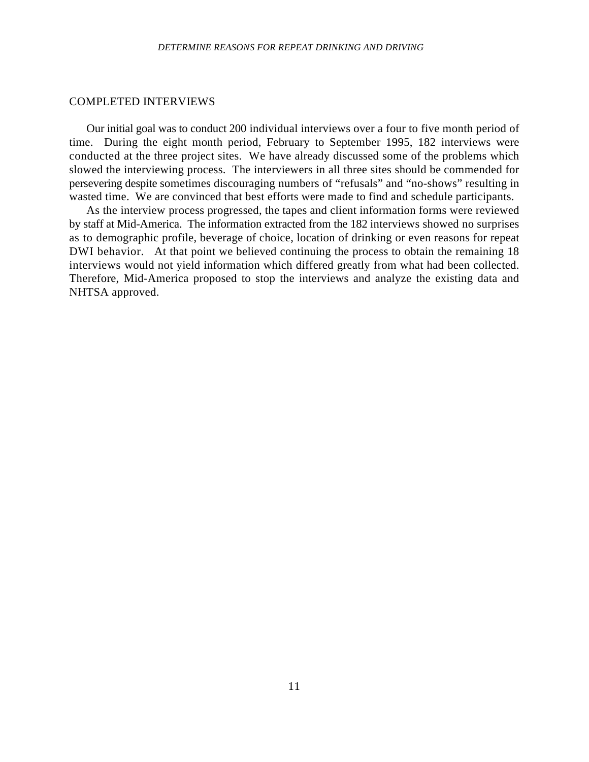#### COMPLETED INTERVIEWS

Our initial goal was to conduct 200 individual interviews over a four to five month period of time. During the eight month period, February to September 1995, 182 interviews were conducted at the three project sites. We have already discussed some of the problems which slowed the interviewing process. The interviewers in all three sites should be commended for persevering despite sometimes discouraging numbers of "refusals" and "no-shows" resulting in wasted time. We are convinced that best efforts were made to find and schedule participants.

As the interview process progressed, the tapes and client information forms were reviewed by staff at Mid-America. The information extracted from the 182 interviews showed no surprises as to demographic profile, beverage of choice, location of drinking or even reasons for repeat DWI behavior. At that point we believed continuing the process to obtain the remaining 18 interviews would not yield information which differed greatly from what had been collected. Therefore, Mid-America proposed to stop the interviews and analyze the existing data and NHTSA approved.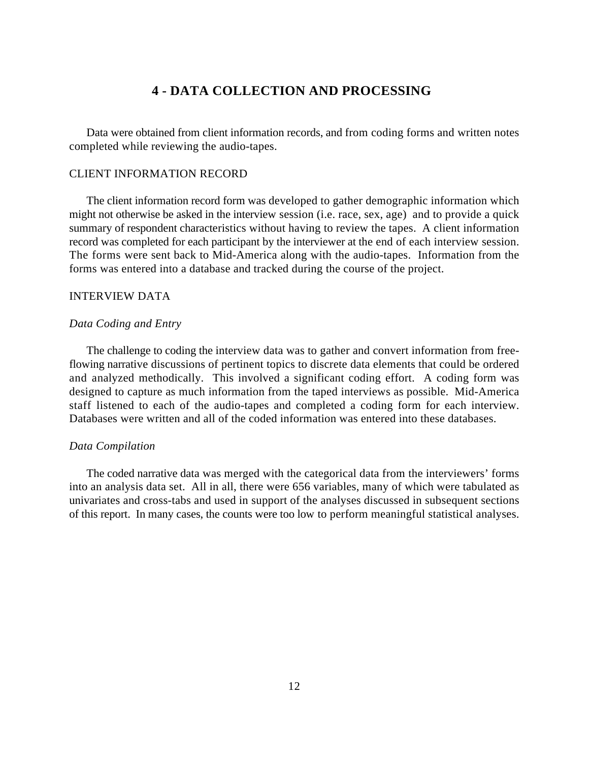## **4 - DATA COLLECTION AND PROCESSING**

Data were obtained from client information records, and from coding forms and written notes completed while reviewing the audio-tapes.

## CLIENT INFORMATION RECORD

The client information record form was developed to gather demographic information which might not otherwise be asked in the interview session (i.e. race, sex, age) and to provide a quick summary of respondent characteristics without having to review the tapes. A client information record was completed for each participant by the interviewer at the end of each interview session. The forms were sent back to Mid-America along with the audio-tapes. Information from the forms was entered into a database and tracked during the course of the project.

## INTERVIEW DATA

## *Data Coding and Entry*

The challenge to coding the interview data was to gather and convert information from freeflowing narrative discussions of pertinent topics to discrete data elements that could be ordered and analyzed methodically. This involved a significant coding effort. A coding form was designed to capture as much information from the taped interviews as possible. Mid-America staff listened to each of the audio-tapes and completed a coding form for each interview. Databases were written and all of the coded information was entered into these databases.

## *Data Compilation*

The coded narrative data was merged with the categorical data from the interviewers' forms into an analysis data set. All in all, there were 656 variables, many of which were tabulated as univariates and cross-tabs and used in support of the analyses discussed in subsequent sections of this report. In many cases, the counts were too low to perform meaningful statistical analyses.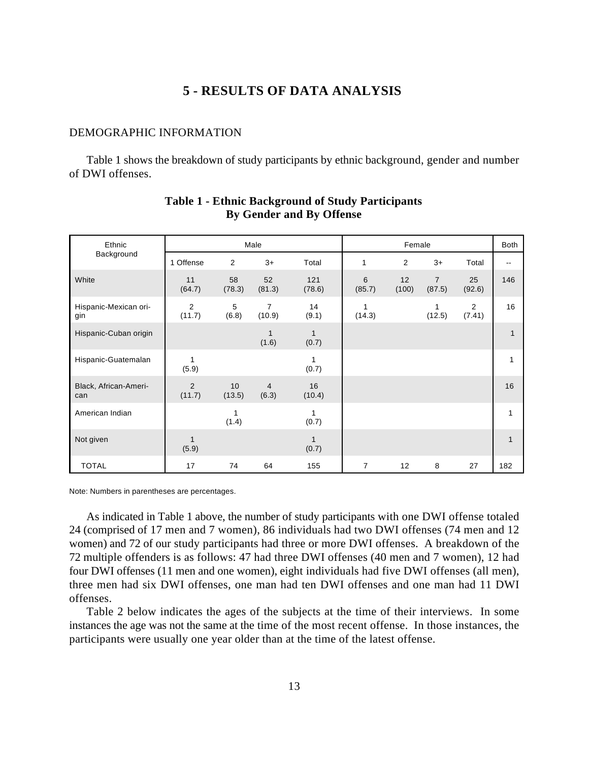## **5 - RESULTS OF DATA ANALYSIS**

## DEMOGRAPHIC INFORMATION

Table 1 shows the breakdown of study participants by ethnic background, gender and number of DWI offenses.

| Ethnic                       |                          |              | Male                     |                       |                | Female      |                          |              | Both        |
|------------------------------|--------------------------|--------------|--------------------------|-----------------------|----------------|-------------|--------------------------|--------------|-------------|
| Background                   | 1 Offense                | 2            | $3+$                     | Total                 | 1              | 2           | $3+$                     | Total        | --          |
| White                        | 11<br>(64.7)             | 58<br>(78.3) | 52<br>(81.3)             | 121<br>(78.6)         | 6<br>(85.7)    | 12<br>(100) | $\overline{7}$<br>(87.5) | 25<br>(92.6) | 146         |
| Hispanic-Mexican ori-<br>gin | $\overline{2}$<br>(11.7) | 5<br>(6.8)   | $\overline{7}$<br>(10.9) | 14<br>(9.1)           | 1<br>(14.3)    |             | 1<br>(12.5)              | 2<br>(7.41)  | 16          |
| Hispanic-Cuban origin        |                          |              | 1<br>(1.6)               | $\mathbf{1}$<br>(0.7) |                |             |                          |              | 1           |
| Hispanic-Guatemalan          | $\mathbf{1}$<br>(5.9)    |              |                          | 1<br>(0.7)            |                |             |                          |              | 1           |
| Black, African-Ameri-<br>can | 2<br>(11.7)              | 10<br>(13.5) | $\overline{4}$<br>(6.3)  | 16<br>(10.4)          |                |             |                          |              | 16          |
| American Indian              |                          | 1<br>(1.4)   |                          | 1<br>(0.7)            |                |             |                          |              | 1           |
| Not given                    | 1<br>(5.9)               |              |                          | $\mathbf{1}$<br>(0.7) |                |             |                          |              | $\mathbf 1$ |
| <b>TOTAL</b>                 | 17                       | 74           | 64                       | 155                   | $\overline{7}$ | 12          | 8                        | 27           | 182         |

## **Table 1 - Ethnic Background of Study Participants By Gender and By Offense**

Note: Numbers in parentheses are percentages.

As indicated in Table 1 above, the number of study participants with one DWI offense totaled 24 (comprised of 17 men and 7 women), 86 individuals had two DWI offenses (74 men and 12 women) and 72 of our study participants had three or more DWI offenses. A breakdown of the 72 multiple offenders is as follows: 47 had three DWI offenses (40 men and 7 women), 12 had four DWI offenses (11 men and one women), eight individuals had five DWI offenses (all men), three men had six DWI offenses, one man had ten DWI offenses and one man had 11 DWI offenses.

Table 2 below indicates the ages of the subjects at the time of their interviews. In some instances the age was not the same at the time of the most recent offense.In those instances, the participants were usually one year older than at the time of the latest offense.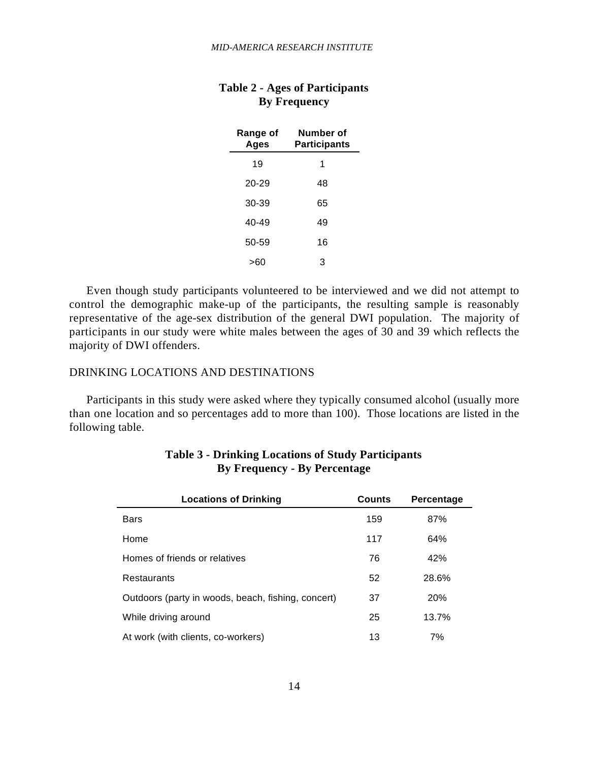| Range of<br>Ages | Number of<br>Participants |
|------------------|---------------------------|
| 19               | 1                         |
| 20-29            | 48                        |
| $30-39$          | 65                        |
| 40-49            | 49                        |
| $50 - 59$        | 16                        |
| >60              | 3                         |

## **Table 2 - Ages of Participants By Frequency**

Even though study participants volunteered to be interviewed and we did not attempt to control the demographic make-up of the participants, the resulting sample is reasonably representative of the age-sex distribution of the general DWI population. The majority of participants in our study were white males between the ages of 30 and 39 which reflects the majority of DWI offenders.

## DRINKING LOCATIONS AND DESTINATIONS

Participants in this study were asked where they typically consumed alcohol (usually more than one location and so percentages add to more than 100). Those locations are listed in the following table.

| <b>Locations of Drinking</b>                       | <b>Counts</b> | Percentage |
|----------------------------------------------------|---------------|------------|
| <b>Bars</b>                                        | 159           | 87%        |
| Home                                               | 117           | 64%        |
| Homes of friends or relatives                      | 76            | 42%        |
| Restaurants                                        | 52            | 28.6%      |
| Outdoors (party in woods, beach, fishing, concert) | 37            | 20%        |
| While driving around                               | 25            | 13.7%      |
| At work (with clients, co-workers)                 | 13            | 7%         |

## **Table 3 - Drinking Locations of Study Participants By Frequency - By Percentage**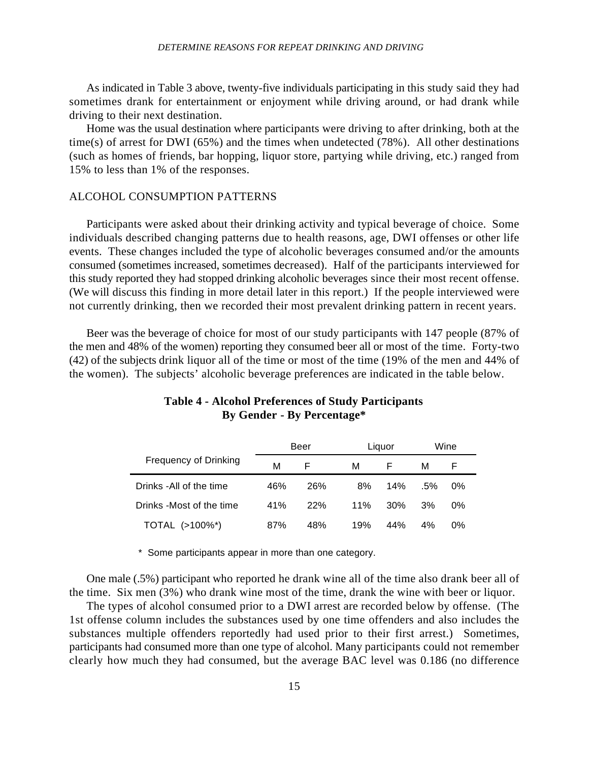### *DETERMINE REASONS FOR REPEAT DRINKING AND DRIVING*

As indicated in Table 3 above, twenty-five individuals participating in this study said they had sometimes drank for entertainment or enjoyment while driving around, or had drank while driving to their next destination.

Home was the usual destination where participants were driving to after drinking, both at the time(s) of arrest for DWI (65%) and the times when undetected (78%). All other destinations (such as homes of friends, bar hopping, liquor store, partying while driving, etc.) ranged from 15% to less than 1% of the responses.

#### ALCOHOL CONSUMPTION PATTERNS

Participants were asked about their drinking activity and typical beverage of choice. Some individuals described changing patterns due to health reasons, age, DWI offenses or other life events. These changes included the type of alcoholic beverages consumed and/or the amounts consumed (sometimes increased, sometimes decreased). Half of the participants interviewed for this study reported they had stopped drinking alcoholic beverages since their most recent offense. (We will discuss this finding in more detail later in this report.) If the people interviewed were not currently drinking, then we recorded their most prevalent drinking pattern in recent years.

Beer was the beverage of choice for most of our study participants with 147 people (87% of the men and 48% of the women) reporting they consumed beer all or most of the time. Forty-two (42) of the subjects drink liquor all of the time or most of the time (19% of the men and 44% of the women). The subjects' alcoholic beverage preferences are indicated in the table below.

|                              |     | Beer |     | Liguor |        | Wine  |  |
|------------------------------|-----|------|-----|--------|--------|-------|--|
| <b>Frequency of Drinking</b> | м   | F    | м   |        | м      |       |  |
| Drinks - All of the time     | 46% | 26%  | 8%  | 14%    | $.5\%$ | $0\%$ |  |
| Drinks -Most of the time     | 41% | 22%  | 11% | 30%    | 3%     | $0\%$ |  |
| TOTAL (>100%*)               | 87% | 48%  | 19% | 44%    | 4%     | $0\%$ |  |

## **Table 4 - Alcohol Preferences of Study Participants By Gender - By Percentage\***

\* Some participants appear in more than one category.

One male (.5%) participant who reported he drank wine all of the time also drank beer all of the time. Six men (3%) who drank wine most of the time, drank the wine with beer or liquor.

The types of alcohol consumed prior to a DWI arrest are recorded below by offense. (The 1st offense column includes the substances used by one time offenders and also includes the substances multiple offenders reportedly had used prior to their first arrest.) Sometimes, participants had consumed more than one type of alcohol. Many participants could not remember clearly how much they had consumed, but the average BAC level was 0.186 (no difference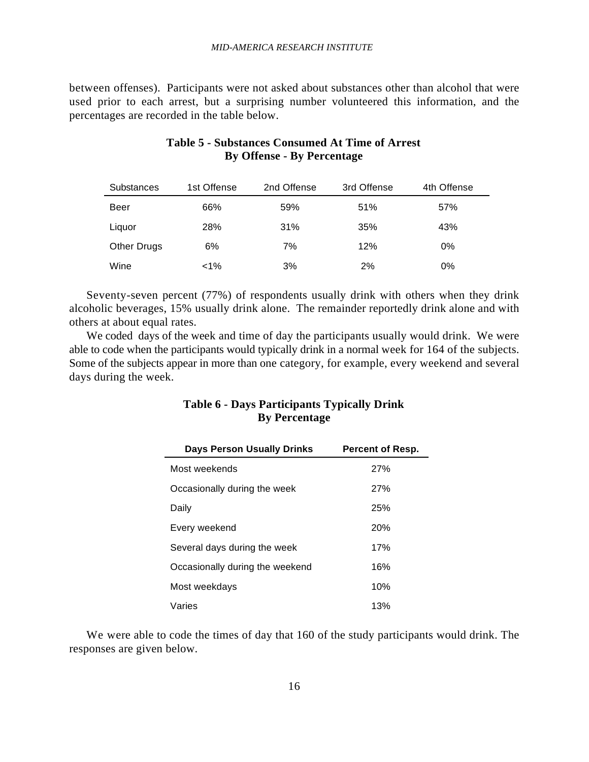between offenses). Participants were not asked about substances other than alcohol that were used prior to each arrest, but a surprising number volunteered this information, and the percentages are recorded in the table below.

| Substances  | 1st Offense | 2nd Offense | 3rd Offense | 4th Offense |
|-------------|-------------|-------------|-------------|-------------|
| Beer        | 66%         | 59%         | 51%         | 57%         |
| Liquor      | 28%         | 31%         | 35%         | 43%         |
| Other Drugs | 6%          | 7%          | 12%         | $0\%$       |
| Wine        | $1\%$       | 3%          | 2%          | 0%          |

## **Table 5 - Substances Consumed At Time of Arrest By Offense - By Percentage**

Seventy-seven percent (77%) of respondents usually drink with others when they drink alcoholic beverages, 15% usually drink alone. The remainder reportedly drink alone and with others at about equal rates.

We coded days of the week and time of day the participants usually would drink. We were able to code when the participants would typically drink in a normal week for 164 of the subjects. Some of the subjects appear in more than one category, for example, every weekend and several days during the week.

## **Table 6 - Days Participants Typically Drink By Percentage**

| <b>Days Person Usually Drinks</b> | Percent of Resp. |
|-----------------------------------|------------------|
| Most weekends                     | 27%              |
| Occasionally during the week      | 27%              |
| Daily                             | 25%              |
| Every weekend                     | 20%              |
| Several days during the week      | 17%              |
| Occasionally during the weekend   | 16%              |
| Most weekdays                     | 10%              |
| Varies                            | 13%              |

We were able to code the times of day that 160 of the study participants would drink. The responses are given below.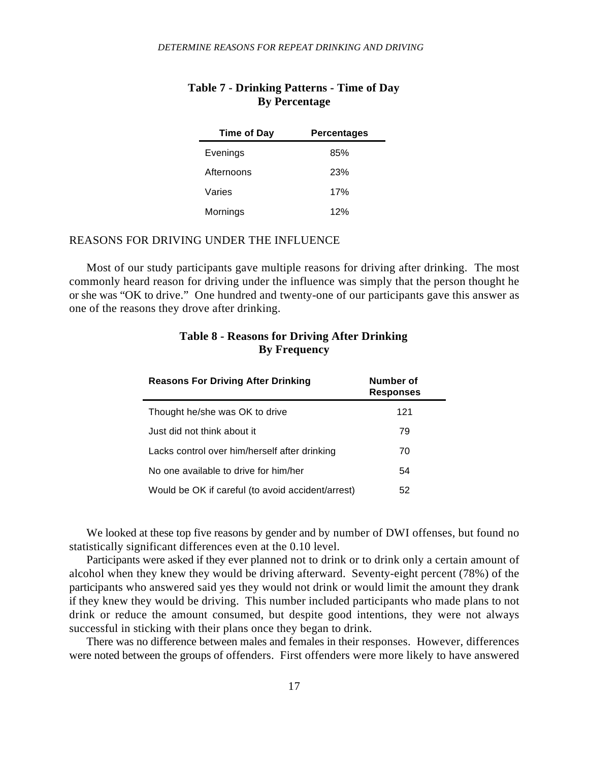| <b>Time of Day</b> | <b>Percentages</b> |
|--------------------|--------------------|
| Evenings           | 85%                |
| Afternoons         | 23%                |
| Varies             | 17%                |
| Mornings           | 12%                |

## **Table 7 - Drinking Patterns - Time of Day By Percentage**

## REASONS FOR DRIVING UNDER THE INFLUENCE

Most of our study participants gave multiple reasons for driving after drinking. The most commonly heard reason for driving under the influence was simply that the person thought he or she was "OK to drive." One hundred and twenty-one of our participants gave this answer as one of the reasons they drove after drinking.

| <b>Reasons For Driving After Drinking</b>         | Number of<br><b>Responses</b> |
|---------------------------------------------------|-------------------------------|
| Thought he/she was OK to drive                    | 121                           |
| Just did not think about it.                      | 79                            |
| Lacks control over him/herself after drinking     | 70                            |
| No one available to drive for him/her             | 54                            |
| Would be OK if careful (to avoid accident/arrest) | 52                            |

## **Table 8 - Reasons for Driving After Drinking By Frequency**

We looked at these top five reasons by gender and by number of DWI offenses, but found no statistically significant differences even at the 0.10 level.

Participants were asked if they ever planned not to drink or to drink only a certain amount of alcohol when they knew they would be driving afterward. Seventy-eight percent (78%) of the participants who answered said yes they would not drink or would limit the amount they drank if they knew they would be driving. This number included participants who made plans to not drink or reduce the amount consumed, but despite good intentions, they were not always successful in sticking with their plans once they began to drink.

There was no difference between males and females in their responses. However, differences were noted between the groups of offenders. First offenders were more likely to have answered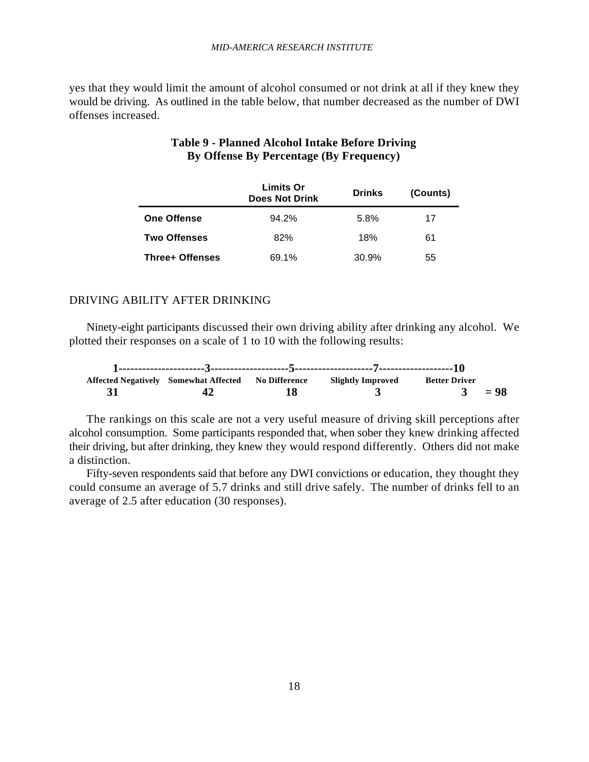#### *MID-AMERICA RESEARCH INSTITUTE*

yes that they would limit the amount of alcohol consumed or not drink at all if they knew they would be driving. As outlined in the table below, that number decreased as the number of DWI offenses increased.

|                    | <b>Limits Or</b><br><b>Does Not Drink</b> | <b>Drinks</b> | (Counts) |
|--------------------|-------------------------------------------|---------------|----------|
| <b>One Offense</b> | 94.2%                                     | 5.8%          | 17       |
| Two Offenses       | 82%                                       | 18%           | 61       |
| Three+ Offenses    | 69.1%                                     | 30.9%         | 55       |

## **Table 9 - Planned Alcohol Intake Before Driving By Offense By Percentage (By Frequency)**

#### DRIVING ABILITY AFTER DRINKING

Ninety-eight participants discussed their own driving ability after drinking any alcohol. We plotted their responses on a scale of 1 to 10 with the following results:

|  | Affected Negatively Somewhat Affected No Difference | Slightly Improved | <b>Better Driver</b> |        |
|--|-----------------------------------------------------|-------------------|----------------------|--------|
|  |                                                     |                   | $\mathbf{3}$         | $= 98$ |

The rankings on this scale are not a very useful measure of driving skill perceptions after alcohol consumption. Some participants responded that, when sober they knew drinking affected their driving, but after drinking, they knew they would respond differently. Others did not make a distinction.

Fifty-seven respondents said that before any DWI convictions or education, they thought they could consume an average of 5.7 drinks and still drive safely. The number of drinks fell to an average of 2.5 after education (30 responses).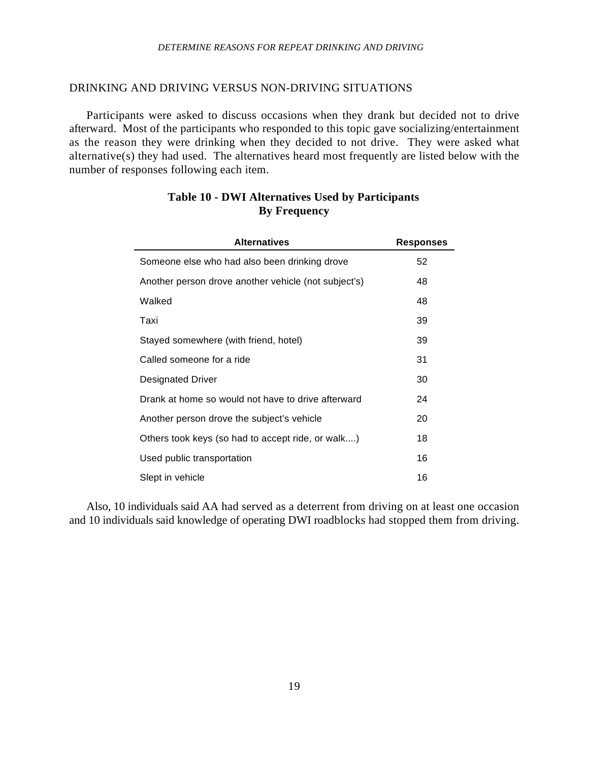### *DETERMINE REASONS FOR REPEAT DRINKING AND DRIVING*

#### DRINKING AND DRIVING VERSUS NON-DRIVING SITUATIONS

Participants were asked to discuss occasions when they drank but decided not to drive afterward. Most of the participants who responded to this topic gave socializing/entertainment as the reason they were drinking when they decided to not drive. They were asked what alternative(s) they had used. The alternatives heard most frequently are listed below with the number of responses following each item.

| <b>Alternatives</b>                                  | <b>Responses</b> |
|------------------------------------------------------|------------------|
| Someone else who had also been drinking drove        | 52               |
| Another person drove another vehicle (not subject's) | 48               |
| Walked                                               | 48               |
| Taxi                                                 | 39               |
| Stayed somewhere (with friend, hotel)                | 39               |
| Called someone for a ride                            | 31               |
| Designated Driver                                    | 30               |
| Drank at home so would not have to drive afterward   | 24               |
| Another person drove the subject's vehicle           | 20               |
| Others took keys (so had to accept ride, or walk)    | 18               |
| Used public transportation                           | 16               |
| Slept in vehicle                                     | 16               |

## **Table 10 - DWI Alternatives Used by Participants By Frequency**

Also, 10 individuals said AA had served as a deterrent from driving on at least one occasion and 10 individuals said knowledge of operating DWI roadblocks had stopped them from driving.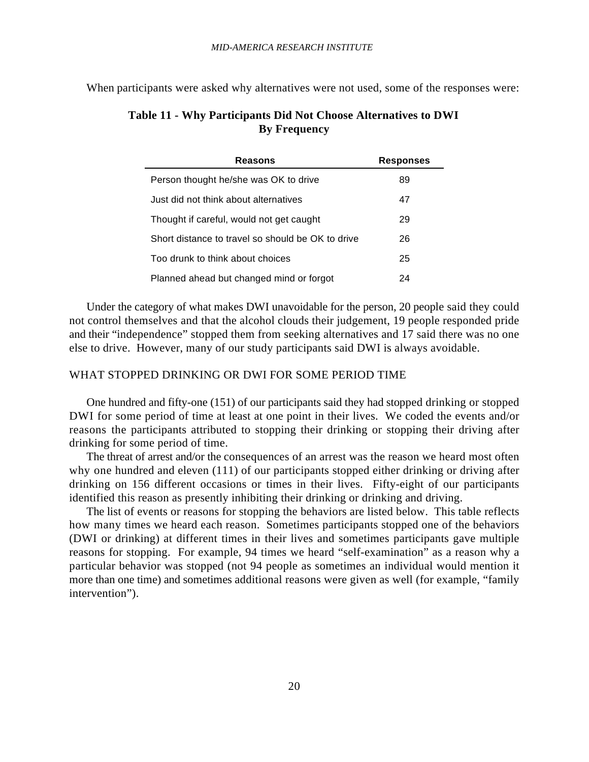When participants were asked why alternatives were not used, some of the responses were:

## **Table 11 - Why Participants Did Not Choose Alternatives to DWI By Frequency**

| Reasons                                           | <b>Responses</b> |
|---------------------------------------------------|------------------|
| Person thought he/she was OK to drive             | 89               |
| Just did not think about alternatives             | 47               |
| Thought if careful, would not get caught          | 29               |
| Short distance to travel so should be OK to drive | 26               |
| Too drunk to think about choices                  | 25               |
| Planned ahead but changed mind or forgot          | 24               |

Under the category of what makes DWI unavoidable for the person, 20 people said they could not control themselves and that the alcohol clouds their judgement, 19 people responded pride and their "independence" stopped them from seeking alternatives and 17 said there was no one else to drive. However, many of our study participants said DWI is always avoidable.

## WHAT STOPPED DRINKING OR DWI FOR SOME PERIOD TIME

One hundred and fifty-one (151) of our participants said they had stopped drinking or stopped DWI for some period of time at least at one point in their lives. We coded the events and/or reasons the participants attributed to stopping their drinking or stopping their driving after drinking for some period of time.

The threat of arrest and/or the consequences of an arrest was the reason we heard most often why one hundred and eleven (111) of our participants stopped either drinking or driving after drinking on 156 different occasions or times in their lives. Fifty-eight of our participants identified this reason as presently inhibiting their drinking or drinking and driving.

The list of events or reasons for stopping the behaviors are listed below. This table reflects how many times we heard each reason. Sometimes participants stopped one of the behaviors (DWI or drinking) at different times in their lives and sometimes participants gave multiple reasons for stopping. For example, 94 times we heard "self-examination" as a reason why a particular behavior was stopped (not 94 people as sometimes an individual would mention it more than one time) and sometimes additional reasons were given as well (for example, "family intervention").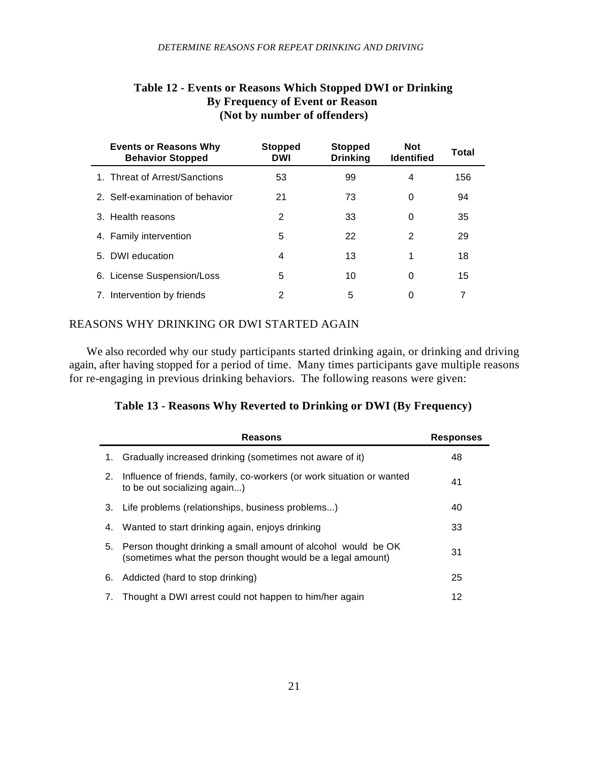| <b>Events or Reasons Why</b><br><b>Behavior Stopped</b> | <b>Stopped</b><br>DWI | <b>Stopped</b><br><b>Drinking</b> | <b>Not</b><br><b>Identified</b> | Total |
|---------------------------------------------------------|-----------------------|-----------------------------------|---------------------------------|-------|
| 1. Threat of Arrest/Sanctions                           | 53                    | 99                                | 4                               | 156   |
| 2. Self-examination of behavior                         | 21                    | 73                                | 0                               | 94    |
| 3. Health reasons                                       | 2                     | 33                                | 0                               | 35    |
| 4. Family intervention                                  | 5                     | 22                                | 2                               | 29    |
| 5. DWI education                                        | 4                     | 13                                | 1                               | 18    |
| 6. License Suspension/Loss                              | 5                     | 10                                | 0                               | 15    |
| 7. Intervention by friends                              | 2                     | 5                                 | 0                               | 7     |

## **Table 12 - Events or Reasons Which Stopped DWI or Drinking By Frequency of Event or Reason (Not by number of offenders)**

## REASONS WHY DRINKING OR DWI STARTED AGAIN

We also recorded why our study participants started drinking again, or drinking and driving again, after having stopped for a period of time. Many times participants gave multiple reasons for re-engaging in previous drinking behaviors. The following reasons were given:

|  |  | Table 13 - Reasons Why Reverted to Drinking or DWI (By Frequency) |  |
|--|--|-------------------------------------------------------------------|--|
|--|--|-------------------------------------------------------------------|--|

|    | <b>Reasons</b>                                                                                                               | <b>Responses</b> |
|----|------------------------------------------------------------------------------------------------------------------------------|------------------|
| 1. | Gradually increased drinking (sometimes not aware of it)                                                                     | 48               |
| 2. | Influence of friends, family, co-workers (or work situation or wanted<br>to be out socializing again)                        | 41               |
| 3. | Life problems (relationships, business problems)                                                                             | 40               |
| 4. | Wanted to start drinking again, enjoys drinking                                                                              | 33               |
| 5. | Person thought drinking a small amount of alcohol would be OK<br>(sometimes what the person thought would be a legal amount) | 31               |
| 6. | Addicted (hard to stop drinking)                                                                                             | 25               |
| 7. | Thought a DWI arrest could not happen to him/her again                                                                       | 12               |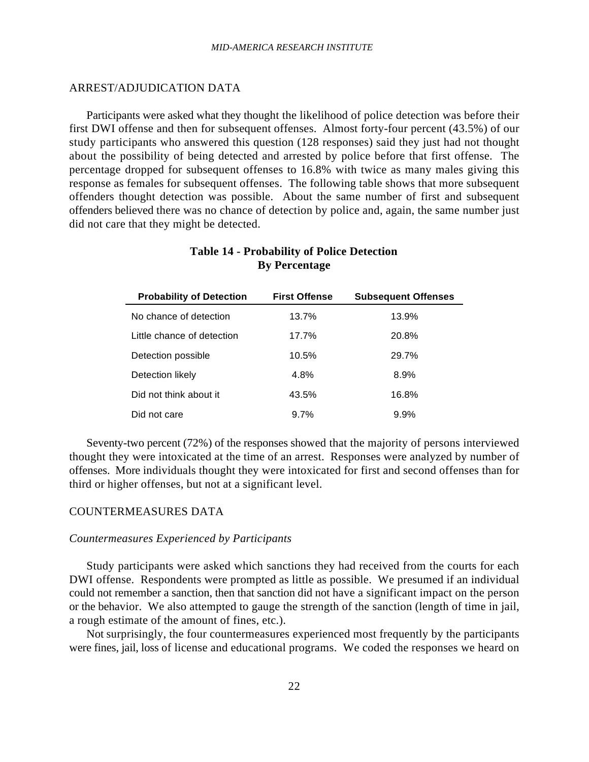## ARREST/ADJUDICATION DATA

Participants were asked what they thought the likelihood of police detection was before their first DWI offense and then for subsequent offenses. Almost forty-four percent (43.5%) of our study participants who answered this question (128 responses) said they just had not thought about the possibility of being detected and arrested by police before that first offense. The percentage dropped for subsequent offenses to 16.8% with twice as many males giving this response as females for subsequent offenses. The following table shows that more subsequent offenders thought detection was possible. About the same number of first and subsequent offenders believed there was no chance of detection by police and, again, the same number just did not care that they might be detected.

| <b>Probability of Detection</b> | <b>First Offense</b> | <b>Subsequent Offenses</b> |
|---------------------------------|----------------------|----------------------------|
| No chance of detection          | 13.7%                | 13.9%                      |
| Little chance of detection      | 17.7%                | 20.8%                      |
| Detection possible              | 10.5%                | 29.7%                      |
| Detection likely                | 4.8%                 | 8.9%                       |
| Did not think about it          | 43.5%                | 16.8%                      |
| Did not care                    | $9.7\%$              | $9.9\%$                    |

## **Table 14 - Probability of Police Detection By Percentage**

Seventy-two percent (72%) of the responses showed that the majority of persons interviewed thought they were intoxicated at the time of an arrest. Responses were analyzed by number of offenses. More individuals thought they were intoxicated for first and second offenses than for third or higher offenses, but not at a significant level.

## COUNTERMEASURES DATA

#### *Countermeasures Experienced by Participants*

Study participants were asked which sanctions they had received from the courts for each DWI offense. Respondents were prompted as little as possible. We presumed if an individual could not remember a sanction, then that sanction did not have a significant impact on the person or the behavior. We also attempted to gauge the strength of the sanction (length of time in jail, a rough estimate of the amount of fines, etc.).

Not surprisingly, the four countermeasures experienced most frequently by the participants were fines, jail, loss of license and educational programs. We coded the responses we heard on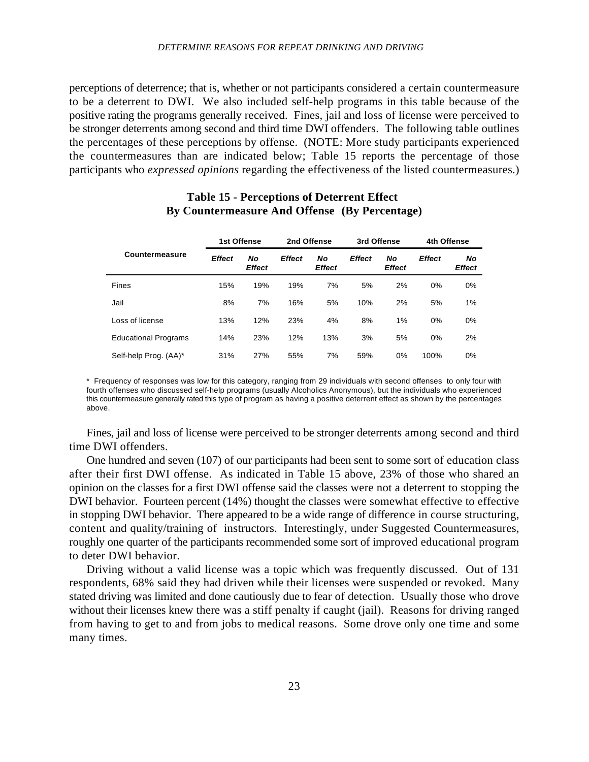#### *DETERMINE REASONS FOR REPEAT DRINKING AND DRIVING*

perceptions of deterrence; that is, whether or not participants considered a certain countermeasure to be a deterrent to DWI. We also included self-help programs in this table because of the positive rating the programs generally received. Fines, jail and loss of license were perceived to be stronger deterrents among second and third time DWI offenders. The following table outlines the percentages of these perceptions by offense. (NOTE: More study participants experienced the countermeasures than are indicated below; Table 15 reports the percentage of those participants who *expressed opinions* regarding the effectiveness of the listed countermeasures.)

|                             | 1st Offense   |                     | 2nd Offense   |              | 3rd Offense   |                     | 4th Offense   |                     |
|-----------------------------|---------------|---------------------|---------------|--------------|---------------|---------------------|---------------|---------------------|
| Countermeasure              | <b>Effect</b> | Νo<br><b>Effect</b> | <b>Effect</b> | Νo<br>Effect | <b>Effect</b> | Νo<br><b>Effect</b> | <b>Effect</b> | No<br><b>Effect</b> |
| <b>Fines</b>                | 15%           | 19%                 | 19%           | 7%           | 5%            | 2%                  | 0%            | 0%                  |
| Jail                        | 8%            | 7%                  | 16%           | 5%           | 10%           | 2%                  | 5%            | 1%                  |
| Loss of license             | 13%           | 12%                 | 23%           | 4%           | 8%            | 1%                  | 0%            | 0%                  |
| <b>Educational Programs</b> | 14%           | 23%                 | 12%           | 13%          | 3%            | 5%                  | 0%            | 2%                  |
| Self-help Prog. (AA)*       | 31%           | 27%                 | 55%           | 7%           | 59%           | 0%                  | 100%          | 0%                  |

## **Table 15 - Perceptions of Deterrent Effect By Countermeasure And Offense (By Percentage)**

\* Frequency of responses was low for this category, ranging from 29 individuals with second offenses to only four with fourth offenses who discussed self-help programs (usually Alcoholics Anonymous), but the individuals who experienced this countermeasure generally rated this type of program as having a positive deterrent effect as shown by the percentages above.

Fines, jail and loss of license were perceived to be stronger deterrents among second and third time DWI offenders.

One hundred and seven (107) of our participants had been sent to some sort of education class after their first DWI offense. As indicated in Table 15 above, 23% of those who shared an opinion on the classes for a first DWI offense said the classes were not a deterrent to stopping the DWI behavior. Fourteen percent (14%) thought the classes were somewhat effective to effective in stopping DWI behavior. There appeared to be a wide range of difference in course structuring, content and quality/training of instructors. Interestingly, under Suggested Countermeasures, roughly one quarter of the participants recommended some sort of improved educational program to deter DWI behavior.

Driving without a valid license was a topic which was frequently discussed. Out of 131 respondents, 68% said they had driven while their licenses were suspended or revoked. Many stated driving was limited and done cautiously due to fear of detection. Usually those who drove without their licenses knew there was a stiff penalty if caught (jail). Reasons for driving ranged from having to get to and from jobs to medical reasons. Some drove only one time and some many times.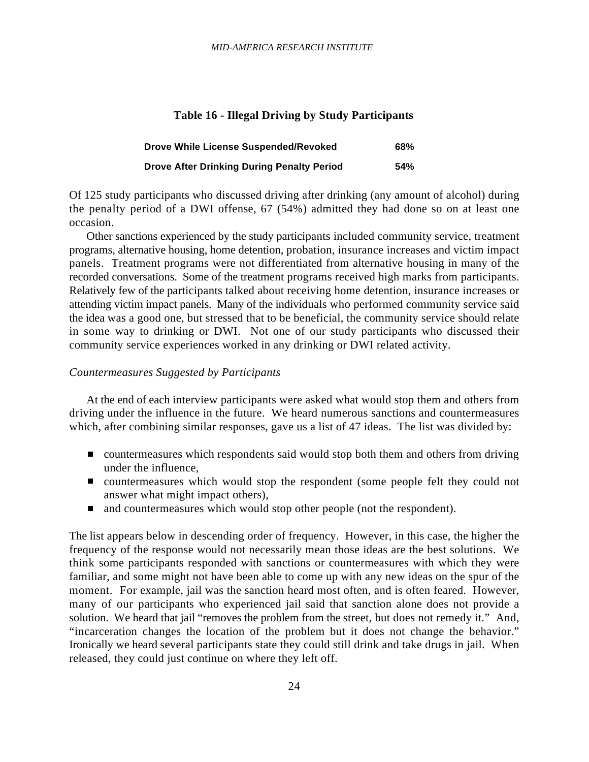#### **Table 16 - Illegal Driving by Study Participants**

| <b>Drove While License Suspended/Revoked</b>      | <b>68%</b> |
|---------------------------------------------------|------------|
| <b>Drove After Drinking During Penalty Period</b> | 54%        |

Of 125 study participants who discussed driving after drinking (any amount of alcohol) during the penalty period of a DWI offense, 67 (54%) admitted they had done so on at least one occasion.

Other sanctions experienced by the study participants included community service, treatment programs, alternative housing, home detention, probation, insurance increases and victim impact panels. Treatment programs were not differentiated from alternative housing in many of the recorded conversations. Some of the treatment programs received high marks from participants. Relatively few of the participants talked about receiving home detention, insurance increases or attending victim impact panels. Many of the individuals who performed community service said the idea was a good one, but stressed that to be beneficial, the community service should relate in some way to drinking or DWI. Not one of our study participants who discussed their community service experiences worked in any drinking or DWI related activity.

## *Countermeasures Suggested by Participants*

At the end of each interview participants were asked what would stop them and others from driving under the influence in the future. We heard numerous sanctions and countermeasures which, after combining similar responses, gave us a list of 47 ideas. The list was divided by:

- countermeasures which respondents said would stop both them and others from driving under the influence,
- countermeasures which would stop the respondent (some people felt they could not answer what might impact others),
- and countermeasures which would stop other people (not the respondent).  $\blacksquare$

The list appears below in descending order of frequency. However, in this case, the higher the frequency of the response would not necessarily mean those ideas are the best solutions. We think some participants responded with sanctions or countermeasures with which they were familiar, and some might not have been able to come up with any new ideas on the spur of the moment. For example, jail was the sanction heard most often, and is often feared. However, many of our participants who experienced jail said that sanction alone does not provide a solution. We heard that jail "removes the problem from the street, but does not remedy it." And, "incarceration changes the location of the problem but it does not change the behavior." Ironically we heard several participants state they could still drink and take drugs in jail. When released, they could just continue on where they left off.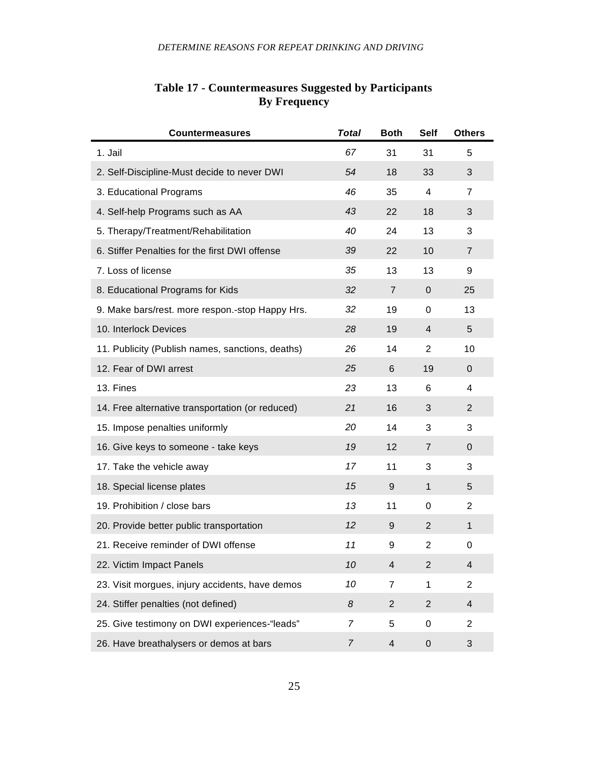| <b>Countermeasures</b>                           | <b>Total</b>   | <b>Both</b>             | <b>Self</b>    | <b>Others</b>  |
|--------------------------------------------------|----------------|-------------------------|----------------|----------------|
| 1. Jail                                          | 67             | 31                      | 31             | 5              |
| 2. Self-Discipline-Must decide to never DWI      | 54             | 18                      | 33             | 3              |
| 3. Educational Programs                          | 46             | 35                      | 4              | 7              |
| 4. Self-help Programs such as AA                 | 43             | 22                      | 18             | 3              |
| 5. Therapy/Treatment/Rehabilitation              | 40             | 24                      | 13             | 3              |
| 6. Stiffer Penalties for the first DWI offense   | 39             | 22                      | 10             | 7              |
| 7. Loss of license                               | 35             | 13                      | 13             | 9              |
| 8. Educational Programs for Kids                 | 32             | $\overline{7}$          | $\mathbf 0$    | 25             |
| 9. Make bars/rest. more respon.-stop Happy Hrs.  | 32             | 19                      | 0              | 13             |
| 10. Interlock Devices                            | 28             | 19                      | 4              | 5              |
| 11. Publicity (Publish names, sanctions, deaths) | 26             | 14                      | $\overline{2}$ | 10             |
| 12. Fear of DWI arrest                           | 25             | 6                       | 19             | $\mathbf 0$    |
| 13. Fines                                        | 23             | 13                      | 6              | 4              |
| 14. Free alternative transportation (or reduced) | 21             | 16                      | 3              | $\overline{2}$ |
| 15. Impose penalties uniformly                   | 20             | 14                      | 3              | 3              |
| 16. Give keys to someone - take keys             | 19             | 12                      | 7              | $\mathbf 0$    |
| 17. Take the vehicle away                        | 17             | 11                      | 3              | 3              |
| 18. Special license plates                       | 15             | 9                       | $\mathbf{1}$   | 5              |
| 19. Prohibition / close bars                     | 13             | 11                      | 0              | 2              |
| 20. Provide better public transportation         | 12             | 9                       | 2              | 1              |
| 21. Receive reminder of DWI offense              | 11             | 9                       | $\overline{c}$ | 0              |
| 22. Victim Impact Panels                         | 10             | 4                       | $\overline{c}$ | 4              |
| 23. Visit morgues, injury accidents, have demos  | 10             | 7                       | 1              | $\overline{2}$ |
| 24. Stiffer penalties (not defined)              | 8              | $\overline{2}$          | $\overline{2}$ | 4              |
| 25. Give testimony on DWI experiences-"leads"    | $\overline{7}$ | 5                       | 0              | $\overline{2}$ |
| 26. Have breathalysers or demos at bars          | $\overline{7}$ | $\overline{\mathbf{4}}$ | 0              | 3              |

## **Table 17 - Countermeasures Suggested by Participants By Frequency**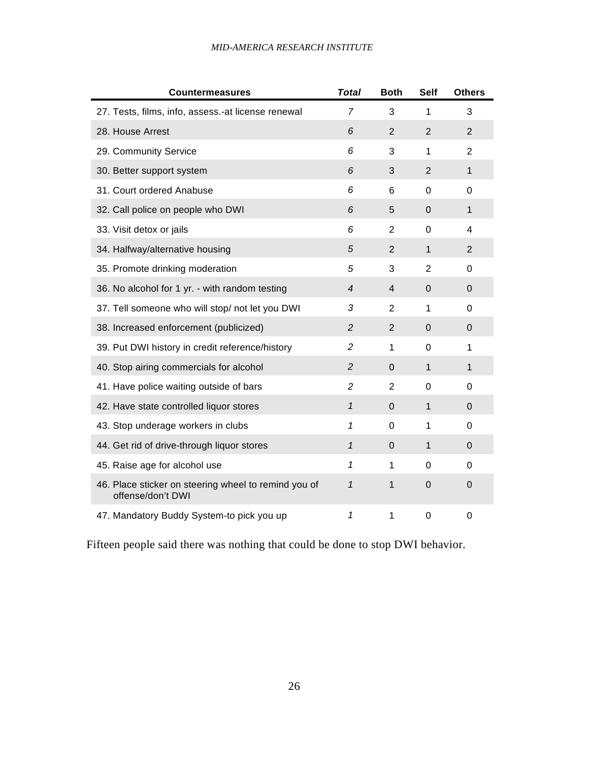## *MID-AMERICA RESEARCH INSTITUTE*

| <b>Countermeasures</b>                                                    | <b>Total</b>   | <b>Both</b>    | <b>Self</b>    | <b>Others</b>  |
|---------------------------------------------------------------------------|----------------|----------------|----------------|----------------|
| 27. Tests, films, info, assess.-at license renewal                        | $\overline{7}$ | 3              | 1              | 3              |
| 28. House Arrest                                                          | 6              | $\overline{2}$ | $\overline{2}$ | $\overline{2}$ |
| 29. Community Service                                                     | 6              | 3              | 1              | $\overline{2}$ |
| 30. Better support system                                                 | 6              | 3              | $\overline{2}$ | 1              |
| 31. Court ordered Anabuse                                                 | 6              | 6              | $\Omega$       | $\Omega$       |
| 32. Call police on people who DWI                                         | 6              | 5              | 0              | 1              |
| 33. Visit detox or jails                                                  | 6              | $\overline{2}$ | $\mathbf 0$    | 4              |
| 34. Halfway/alternative housing                                           | 5              | $\overline{2}$ | $\mathbf{1}$   | $\overline{2}$ |
| 35. Promote drinking moderation                                           | 5              | 3              | 2              | $\Omega$       |
| 36. No alcohol for 1 yr. - with random testing                            | $\overline{4}$ | 4              | 0              | $\overline{0}$ |
| 37. Tell someone who will stop/ not let you DWI                           | 3              | $\overline{2}$ | 1              | $\Omega$       |
| 38. Increased enforcement (publicized)                                    | $\overline{c}$ | $\overline{2}$ | $\mathbf 0$    | 0              |
| 39. Put DWI history in credit reference/history                           | $\overline{c}$ | $\mathbf{1}$   | $\mathbf 0$    | 1              |
| 40. Stop airing commercials for alcohol                                   | $\overline{c}$ | $\mathbf 0$    | $\mathbf{1}$   | 1              |
| 41. Have police waiting outside of bars                                   | $\overline{c}$ | 2              | $\Omega$       | 0              |
| 42. Have state controlled liquor stores                                   | $\mathbf{1}$   | 0              | $\mathbf{1}$   | $\overline{0}$ |
| 43. Stop underage workers in clubs                                        | 1              | $\mathbf 0$    | 1              | $\overline{0}$ |
| 44. Get rid of drive-through liquor stores                                | $\mathbf 1$    | $\mathbf 0$    | 1              | 0              |
| 45. Raise age for alcohol use                                             | 1              | 1              | $\Omega$       | $\Omega$       |
| 46. Place sticker on steering wheel to remind you of<br>offense/don't DWI | $\mathcal I$   | 1              | $\Omega$       | 0              |
| 47. Mandatory Buddy System-to pick you up                                 | 1              | 1              | $\Omega$       | 0              |

Fifteen people said there was nothing that could be done to stop DWI behavior.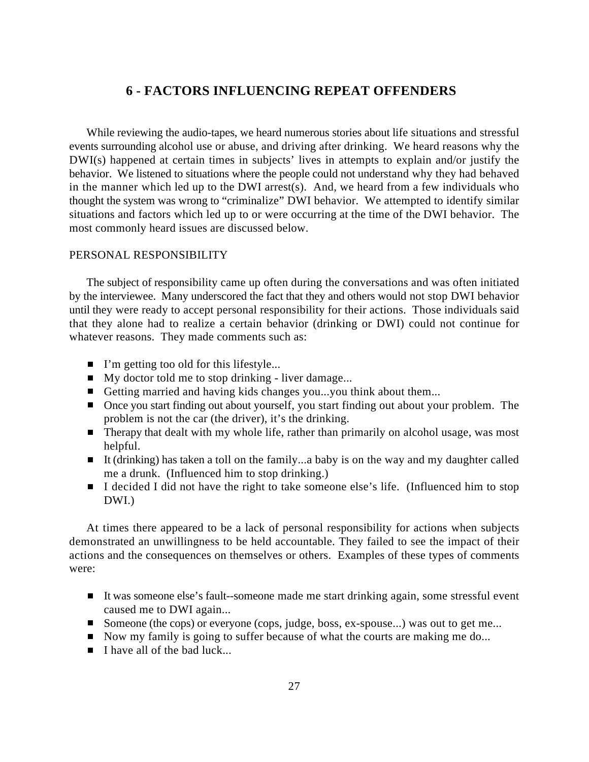## **6 - FACTORS INFLUENCING REPEAT OFFENDERS**

While reviewing the audio-tapes, we heard numerous stories about life situations and stressful events surrounding alcohol use or abuse, and driving after drinking. We heard reasons why the DWI(s) happened at certain times in subjects' lives in attempts to explain and/or justify the behavior. We listened to situations where the people could not understand why they had behaved in the manner which led up to the DWI arrest(s). And, we heard from a few individuals who thought the system was wrong to "criminalize" DWI behavior. We attempted to identify similar situations and factors which led up to or were occurring at the time of the DWI behavior. The most commonly heard issues are discussed below.

## PERSONAL RESPONSIBILITY

The subject of responsibility came up often during the conversations and was often initiated by the interviewee. Many underscored the fact that they and others would not stop DWI behavior until they were ready to accept personal responsibility for their actions. Those individuals said that they alone had to realize a certain behavior (drinking or DWI) could not continue for whatever reasons. They made comments such as:

- I'm getting too old for this lifestyle...
- $\blacksquare$  My doctor told me to stop drinking liver damage...
- Getting married and having kids changes you...you think about them...
- Once you start finding out about yourself, you start finding out about your problem. The problem is not the car (the driver), it's the drinking.
- Therapy that dealt with my whole life, rather than primarily on alcohol usage, was most helpful.
- It (drinking) has taken a toll on the family...a baby is on the way and my daughter called me a drunk. (Influenced him to stop drinking.)
- I decided I did not have the right to take someone else's life. (Influenced him to stop DWI.)

At times there appeared to be a lack of personal responsibility for actions when subjects demonstrated an unwillingness to be held accountable. They failed to see the impact of their actions and the consequences on themselves or others. Examples of these types of comments were:

- It was someone else's fault--someone made me start drinking again, some stressful event caused me to DWI again...
- Someone (the cops) or everyone (cops, judge, boss, ex-spouse...) was out to get me...
- Now my family is going to suffer because of what the courts are making me do...
- $\blacksquare$  I have all of the bad luck...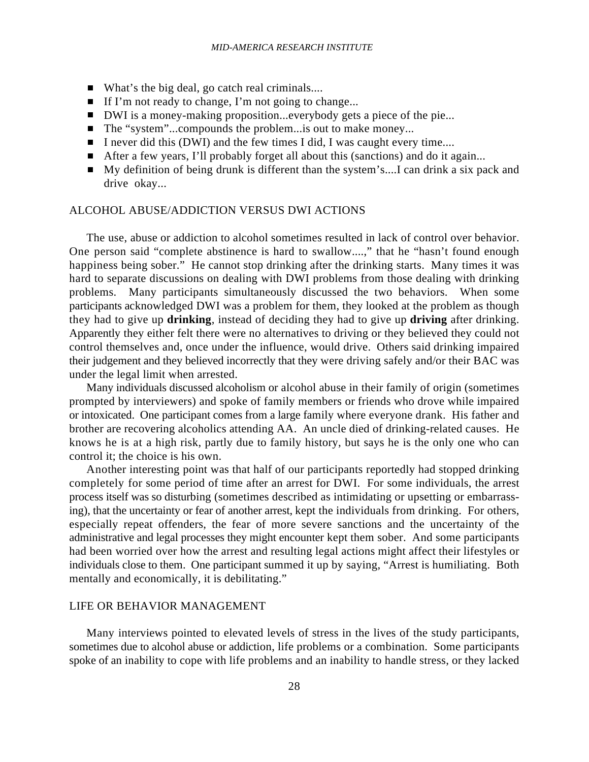- What's the big deal, go catch real criminals....
- If I'm not ready to change, I'm not going to change...
- DWI is a money-making proposition...everybody gets a piece of the pie...
- The "system"...compounds the problem...is out to make money...
- I never did this (DWI) and the few times I did, I was caught every time....
- After a few years, I'll probably forget all about this (sanctions) and do it again...
- My definition of being drunk is different than the system's....I can drink a six pack and drive okay...

#### ALCOHOL ABUSE/ADDICTION VERSUS DWI ACTIONS

The use, abuse or addiction to alcohol sometimes resulted in lack of control over behavior. One person said "complete abstinence is hard to swallow....," that he "hasn't found enough happiness being sober." He cannot stop drinking after the drinking starts. Many times it was hard to separate discussions on dealing with DWI problems from those dealing with drinking problems. Many participants simultaneously discussed the two behaviors. When some participants acknowledged DWI was a problem for them, they looked at the problem as though they had to give up **drinking**, instead of deciding they had to give up **driving** after drinking. Apparently they either felt there were no alternatives to driving or they believed they could not control themselves and, once under the influence, would drive. Others said drinking impaired their judgement and they believed incorrectly that they were driving safely and/or their BAC was under the legal limit when arrested.

Many individuals discussed alcoholism or alcohol abuse in their family of origin (sometimes prompted by interviewers) and spoke of family members or friends who drove while impaired or intoxicated. One participant comes from a large family where everyone drank. His father and brother are recovering alcoholics attending AA. An uncle died of drinking-related causes. He knows he is at a high risk, partly due to family history, but says he is the only one who can control it; the choice is his own.

Another interesting point was that half of our participants reportedly had stopped drinking completely for some period of time after an arrest for DWI. For some individuals, the arrest process itself was so disturbing (sometimes described as intimidating or upsetting or embarrassing), that the uncertainty or fear of another arrest, kept the individuals from drinking. For others, especially repeat offenders, the fear of more severe sanctions and the uncertainty of the administrative and legal processes they might encounter kept them sober. And some participants had been worried over how the arrest and resulting legal actions might affect their lifestyles or individuals close to them. One participant summed it up by saying, "Arrest is humiliating. Both mentally and economically, it is debilitating."

## LIFE OR BEHAVIOR MANAGEMENT

Many interviews pointed to elevated levels of stress in the lives of the study participants, sometimes due to alcohol abuse or addiction, life problems or a combination. Some participants spoke of an inability to cope with life problems and an inability to handle stress, or they lacked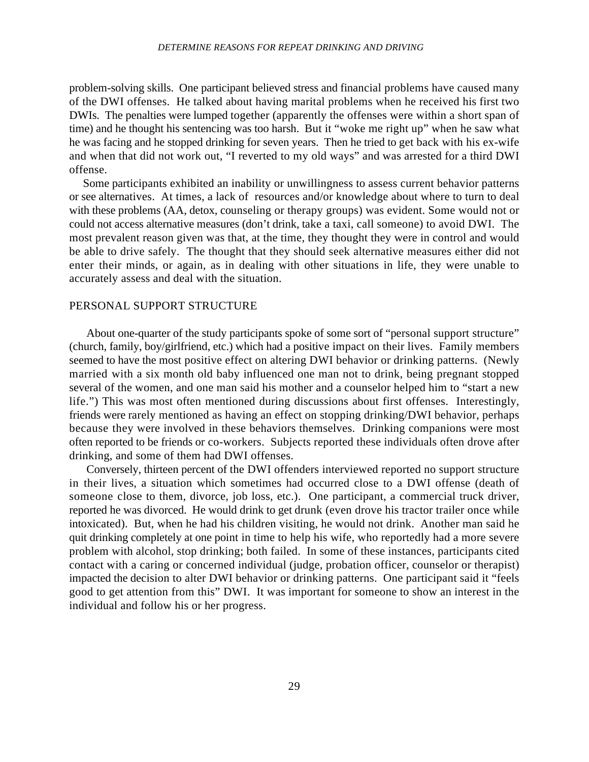problem-solving skills. One participant believed stress and financial problems have caused many of the DWI offenses. He talked about having marital problems when he received his first two DWIs. The penalties were lumped together (apparently the offenses were within a short span of time) and he thought his sentencing was too harsh. But it "woke me right up" when he saw what he was facing and he stopped drinking for seven years. Then he tried to get back with his ex-wife and when that did not work out, "I reverted to my old ways" and was arrested for a third DWI offense.

 Some participants exhibited an inability or unwillingness to assess current behavior patterns or see alternatives. At times, a lack of resources and/or knowledge about where to turn to deal with these problems (AA, detox, counseling or therapy groups) was evident. Some would not or could not access alternative measures (don't drink, take a taxi, call someone) to avoid DWI. The most prevalent reason given was that, at the time, they thought they were in control and would be able to drive safely. The thought that they should seek alternative measures either did not enter their minds, or again, as in dealing with other situations in life, they were unable to accurately assess and deal with the situation.

#### PERSONAL SUPPORT STRUCTURE

About one-quarter of the study participants spoke of some sort of "personal support structure" (church, family, boy/girlfriend, etc.) which had a positive impact on their lives. Family members seemed to have the most positive effect on altering DWI behavior or drinking patterns. (Newly married with a six month old baby influenced one man not to drink, being pregnant stopped several of the women, and one man said his mother and a counselor helped him to "start a new life.") This was most often mentioned during discussions about first offenses. Interestingly, friends were rarely mentioned as having an effect on stopping drinking/DWI behavior, perhaps because they were involved in these behaviors themselves. Drinking companions were most often reported to be friends or co-workers. Subjects reported these individuals often drove after drinking, and some of them had DWI offenses.

Conversely, thirteen percent of the DWI offenders interviewed reported no support structure in their lives, a situation which sometimes had occurred close to a DWI offense (death of someone close to them, divorce, job loss, etc.). One participant, a commercial truck driver, reported he was divorced. He would drink to get drunk (even drove his tractor trailer once while intoxicated). But, when he had his children visiting, he would not drink. Another man said he quit drinking completely at one point in time to help his wife, who reportedly had a more severe problem with alcohol, stop drinking; both failed. In some of these instances, participants cited contact with a caring or concerned individual (judge, probation officer, counselor or therapist) impacted the decision to alter DWI behavior or drinking patterns. One participant said it "feels good to get attention from this" DWI. It was important for someone to show an interest in the individual and follow his or her progress.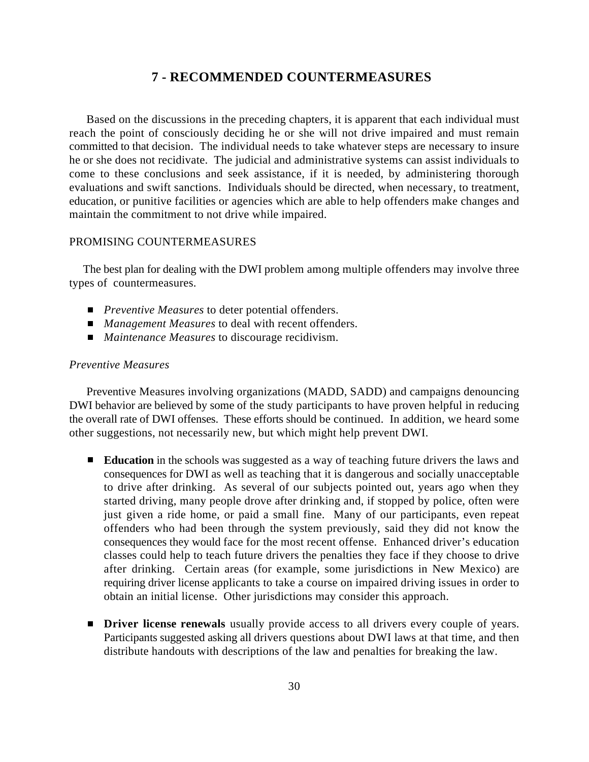## **7 - RECOMMENDED COUNTERMEASURES**

Based on the discussions in the preceding chapters, it is apparent that each individual must reach the point of consciously deciding he or she will not drive impaired and must remain committed to that decision. The individual needs to take whatever steps are necessary to insure he or she does not recidivate. The judicial and administrative systems can assist individuals to come to these conclusions and seek assistance, if it is needed, by administering thorough evaluations and swift sanctions. Individuals should be directed, when necessary, to treatment, education, or punitive facilities or agencies which are able to help offenders make changes and maintain the commitment to not drive while impaired.

## PROMISING COUNTERMEASURES

 The best plan for dealing with the DWI problem among multiple offenders may involve three types of countermeasures.

- *Preventive Measures* to deter potential offenders.
- *Management Measures* to deal with recent offenders.
- *Maintenance Measures* to discourage recidivism.

## *Preventive Measures*

Preventive Measures involving organizations (MADD, SADD) and campaigns denouncing DWI behavior are believed by some of the study participants to have proven helpful in reducing the overall rate of DWI offenses. These efforts should be continued. In addition, we heard some other suggestions, not necessarily new, but which might help prevent DWI.

- **Education** in the schools was suggested as a way of teaching future drivers the laws and consequences for DWI as well as teaching that it is dangerous and socially unacceptable to drive after drinking. As several of our subjects pointed out, years ago when they started driving, many people drove after drinking and, if stopped by police, often were just given a ride home, or paid a small fine. Many of our participants, even repeat offenders who had been through the system previously, said they did not know the consequences they would face for the most recent offense. Enhanced driver's education classes could help to teach future drivers the penalties they face if they choose to drive after drinking. Certain areas (for example, some jurisdictions in New Mexico) are requiring driver license applicants to take a course on impaired driving issues in order to obtain an initial license. Other jurisdictions may consider this approach.
- **Driver license renewals** usually provide access to all drivers every couple of years. Participants suggested asking all drivers questions about DWI laws at that time, and then distribute handouts with descriptions of the law and penalties for breaking the law.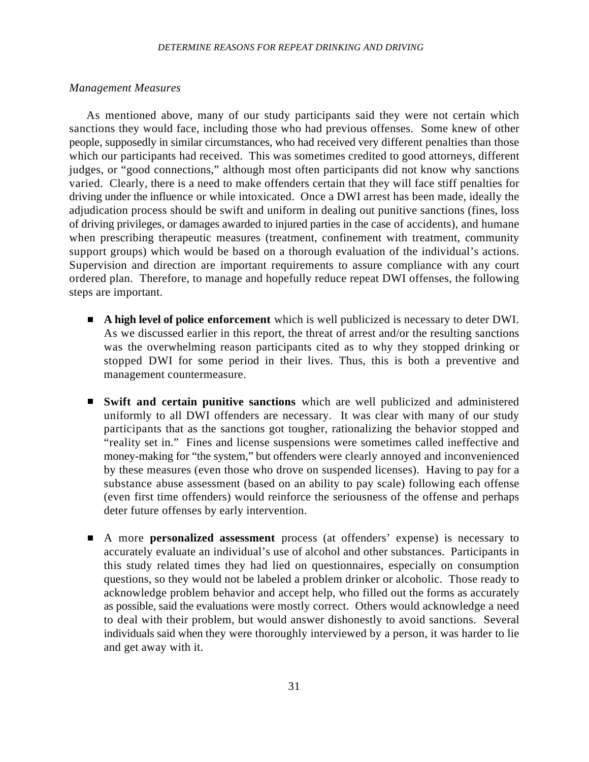#### *Management Measures*

As mentioned above, many of our study participants said they were not certain which sanctions they would face, including those who had previous offenses. Some knew of other people, supposedly in similar circumstances, who had received very different penalties than those which our participants had received. This was sometimes credited to good attorneys, different judges, or "good connections," although most often participants did not know why sanctions varied. Clearly, there is a need to make offenders certain that they will face stiff penalties for driving under the influence or while intoxicated. Once a DWI arrest has been made, ideally the adjudication process should be swift and uniform in dealing out punitive sanctions (fines, loss of driving privileges, or damages awarded to injured parties in the case of accidents), and humane when prescribing therapeutic measures (treatment, confinement with treatment, community support groups) which would be based on a thorough evaluation of the individual's actions. Supervision and direction are important requirements to assure compliance with any court ordered plan. Therefore, to manage and hopefully reduce repeat DWI offenses, the following steps are important.

- **A high level of police enforcement** which is well publicized is necessary to deter DWI. As we discussed earlier in this report, the threat of arrest and/or the resulting sanctions was the overwhelming reason participants cited as to why they stopped drinking or stopped DWI for some period in their lives. Thus, this is both a preventive and management countermeasure.
- **Swift and certain punitive sanctions** which are well publicized and administered uniformly to all DWI offenders are necessary. It was clear with many of our study participants that as the sanctions got tougher, rationalizing the behavior stopped and "reality set in." Fines and license suspensions were sometimes called ineffective and money-making for "the system," but offenders were clearly annoyed and inconvenienced by these measures (even those who drove on suspended licenses). Having to pay for a substance abuse assessment (based on an ability to pay scale) following each offense (even first time offenders) would reinforce the seriousness of the offense and perhaps deter future offenses by early intervention.
- A more **personalized assessment** process (at offenders' expense) is necessary to  $\blacksquare$ accurately evaluate an individual's use of alcohol and other substances. Participants in this study related times they had lied on questionnaires, especially on consumption questions, so they would not be labeled a problem drinker or alcoholic. Those ready to acknowledge problem behavior and accept help, who filled out the forms as accurately as possible, said the evaluations were mostly correct. Others would acknowledge a need to deal with their problem, but would answer dishonestly to avoid sanctions. Several individuals said when they were thoroughly interviewed by a person, it was harder to lie and get away with it.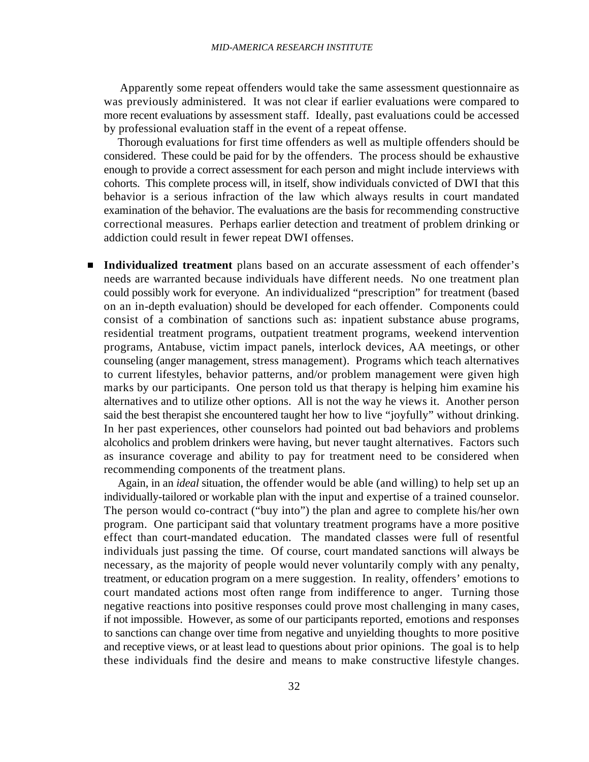Apparently some repeat offenders would take the same assessment questionnaire as was previously administered. It was not clear if earlier evaluations were compared to more recent evaluations by assessment staff. Ideally, past evaluations could be accessed by professional evaluation staff in the event of a repeat offense.

 Thorough evaluations for first time offenders as well as multiple offenders should be considered. These could be paid for by the offenders. The process should be exhaustive enough to provide a correct assessment for each person and might include interviews with cohorts. This complete process will, in itself, show individuals convicted of DWI that this behavior is a serious infraction of the law which always results in court mandated examination of the behavior. The evaluations are the basis for recommending constructive correctional measures. Perhaps earlier detection and treatment of problem drinking or addiction could result in fewer repeat DWI offenses.

**Individualized treatment** plans based on an accurate assessment of each offender's  $\blacksquare$ needs are warranted because individuals have different needs. No one treatment plan could possibly work for everyone. An individualized "prescription" for treatment (based on an in-depth evaluation) should be developed for each offender. Components could consist of a combination of sanctions such as: inpatient substance abuse programs, residential treatment programs, outpatient treatment programs, weekend intervention programs, Antabuse, victim impact panels, interlock devices, AA meetings, or other counseling (anger management, stress management). Programs which teach alternatives to current lifestyles, behavior patterns, and/or problem management were given high marks by our participants. One person told us that therapy is helping him examine his alternatives and to utilize other options. All is not the way he views it. Another person said the best therapist she encountered taught her how to live "joyfully" without drinking. In her past experiences, other counselors had pointed out bad behaviors and problems alcoholics and problem drinkers were having, but never taught alternatives. Factors such as insurance coverage and ability to pay for treatment need to be considered when recommending components of the treatment plans.

 Again, in an *ideal* situation, the offender would be able (and willing) to help set up an individually-tailored or workable plan with the input and expertise of a trained counselor. The person would co-contract ("buy into") the plan and agree to complete his/her own program. One participant said that voluntary treatment programs have a more positive effect than court-mandated education. The mandated classes were full of resentful individuals just passing the time. Of course, court mandated sanctions will always be necessary, as the majority of people would never voluntarily comply with any penalty, treatment, or education program on a mere suggestion. In reality, offenders' emotions to court mandated actions most often range from indifference to anger. Turning those negative reactions into positive responses could prove most challenging in many cases, if not impossible. However, as some of our participants reported, emotions and responses to sanctions can change over time from negative and unyielding thoughts to more positive and receptive views, or at least lead to questions about prior opinions. The goal is to help these individuals find the desire and means to make constructive lifestyle changes.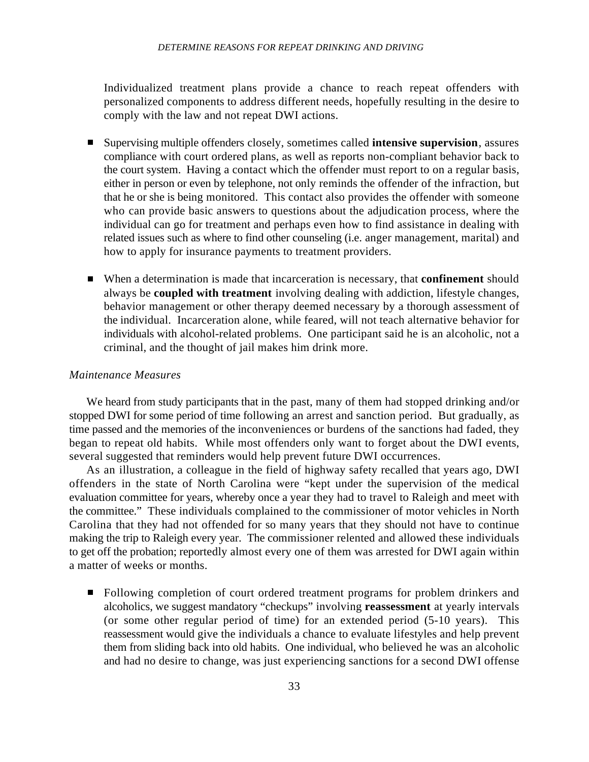Individualized treatment plans provide a chance to reach repeat offenders with personalized components to address different needs, hopefully resulting in the desire to comply with the law and not repeat DWI actions.

- Supervising multiple offenders closely, sometimes called **intensive supervision**, assures  $\blacksquare$ compliance with court ordered plans, as well as reports non-compliant behavior back to the court system. Having a contact which the offender must report to on a regular basis, either in person or even by telephone, not only reminds the offender of the infraction, but that he or she is being monitored. This contact also provides the offender with someone who can provide basic answers to questions about the adjudication process, where the individual can go for treatment and perhaps even how to find assistance in dealing with related issues such as where to find other counseling (i.e. anger management, marital) and how to apply for insurance payments to treatment providers.
- When a determination is made that incarceration is necessary, that **confinement** should always be **coupled with treatment** involving dealing with addiction, lifestyle changes, behavior management or other therapy deemed necessary by a thorough assessment of the individual. Incarceration alone, while feared, will not teach alternative behavior for individuals with alcohol-related problems. One participant said he is an alcoholic, not a criminal, and the thought of jail makes him drink more.

#### *Maintenance Measures*

We heard from study participants that in the past, many of them had stopped drinking and/or stopped DWI for some period of time following an arrest and sanction period. But gradually, as time passed and the memories of the inconveniences or burdens of the sanctions had faded, they began to repeat old habits. While most offenders only want to forget about the DWI events, several suggested that reminders would help prevent future DWI occurrences.

As an illustration, a colleague in the field of highway safety recalled that years ago, DWI offenders in the state of North Carolina were "kept under the supervision of the medical evaluation committee for years, whereby once a year they had to travel to Raleigh and meet with the committee." These individuals complained to the commissioner of motor vehicles in North Carolina that they had not offended for so many years that they should not have to continue making the trip to Raleigh every year. The commissioner relented and allowed these individuals to get off the probation; reportedly almost every one of them was arrested for DWI again within a matter of weeks or months.

Following completion of court ordered treatment programs for problem drinkers and alcoholics, we suggest mandatory "checkups" involving **reassessment** at yearly intervals (or some other regular period of time) for an extended period (5-10 years). This reassessment would give the individuals a chance to evaluate lifestyles and help prevent them from sliding back into old habits. One individual, who believed he was an alcoholic and had no desire to change, was just experiencing sanctions for a second DWI offense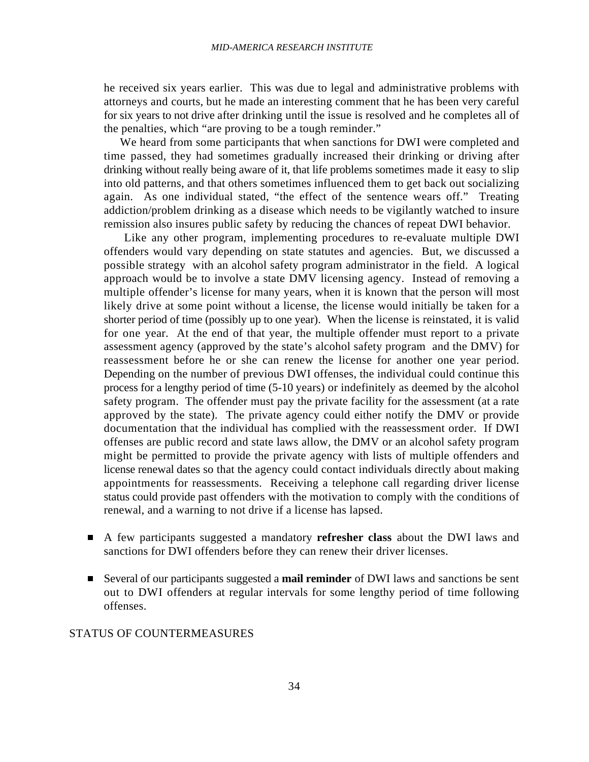he received six years earlier. This was due to legal and administrative problems with attorneys and courts, but he made an interesting comment that he has been very careful for six years to not drive after drinking until the issue is resolved and he completes all of the penalties, which "are proving to be a tough reminder."

 We heard from some participants that when sanctions for DWI were completed and time passed, they had sometimes gradually increased their drinking or driving after drinking without really being aware of it, that life problems sometimes made it easy to slip into old patterns, and that others sometimes influenced them to get back out socializing again. As one individual stated, "the effect of the sentence wears off." Treating addiction/problem drinking as a disease which needs to be vigilantly watched to insure remission also insures public safety by reducing the chances of repeat DWI behavior.

 Like any other program, implementing procedures to re-evaluate multiple DWI offenders would vary depending on state statutes and agencies. But, we discussed a possible strategy with an alcohol safety program administrator in the field. A logical approach would be to involve a state DMV licensing agency. Instead of removing a multiple offender's license for many years, when it is known that the person will most likely drive at some point without a license, the license would initially be taken for a shorter period of time (possibly up to one year). When the license is reinstated, it is valid for one year. At the end of that year, the multiple offender must report to a private assessment agency (approved by the state's alcohol safety program and the DMV) for reassessment before he or she can renew the license for another one year period. Depending on the number of previous DWI offenses, the individual could continue this process for a lengthy period of time (5-10 years) or indefinitely as deemed by the alcohol safety program. The offender must pay the private facility for the assessment (at a rate approved by the state). The private agency could either notify the DMV or provide documentation that the individual has complied with the reassessment order. If DWI offenses are public record and state laws allow, the DMV or an alcohol safety program might be permitted to provide the private agency with lists of multiple offenders and license renewal dates so that the agency could contact individuals directly about making appointments for reassessments. Receiving a telephone call regarding driver license status could provide past offenders with the motivation to comply with the conditions of renewal, and a warning to not drive if a license has lapsed.

- A few participants suggested a mandatory **refresher class** about the DWI laws and sanctions for DWI offenders before they can renew their driver licenses.
- Several of our participants suggested a **mail reminder** of DWI laws and sanctions be sent out to DWI offenders at regular intervals for some lengthy period of time following offenses.

#### STATUS OF COUNTERMEASURES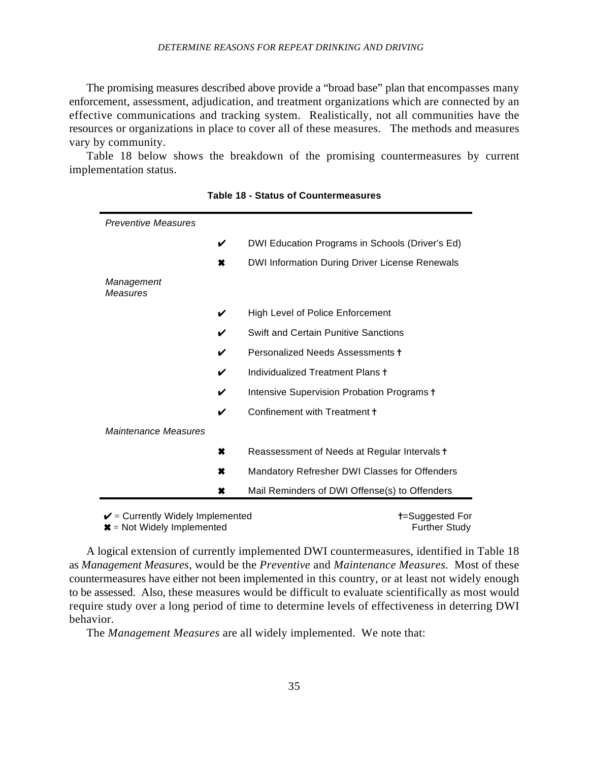The promising measures described above provide a "broad base" plan that encompasses many enforcement, assessment, adjudication, and treatment organizations which are connected by an effective communications and tracking system. Realistically, not all communities have the resources or organizations in place to cover all of these measures. The methods and measures vary by community.

Table 18 below shows the breakdown of the promising countermeasures by current implementation status.

| <b>Preventive Measures</b>                         |   |                                                 |
|----------------------------------------------------|---|-------------------------------------------------|
|                                                    | V | DWI Education Programs in Schools (Driver's Ed) |
|                                                    | × | DWI Information During Driver License Renewals  |
| Management<br>Measures                             |   |                                                 |
|                                                    | V | <b>High Level of Police Enforcement</b>         |
|                                                    | V | <b>Swift and Certain Punitive Sanctions</b>     |
|                                                    | V | Personalized Needs Assessments t                |
|                                                    | V | Individualized Treatment Plans t                |
|                                                    | V | Intensive Supervision Probation Programs +      |
|                                                    | V | Confinement with Treatment +                    |
| Maintenance Measures                               |   |                                                 |
|                                                    | × | Reassessment of Needs at Regular Intervals +    |
|                                                    | × | Mandatory Refresher DWI Classes for Offenders   |
|                                                    | × | Mail Reminders of DWI Offense(s) to Offenders   |
| $\mathbf{a}$ , and $\mathbf{a}$ , and $\mathbf{a}$ |   |                                                 |

| <b>Table 18 - Status of Countermeasures</b> |  |  |  |
|---------------------------------------------|--|--|--|
|---------------------------------------------|--|--|--|

 $\boldsymbol{\nu}$  = Currently Widely Implemented  $\boldsymbol{\nu}$  = Suggested For

**\*** Further Study Implemented Further Study

A logical extension of currently implemented DWI countermeasures, identified in Table 18 as *Management Measures*, would be the *Preventive* and *Maintenance Measures.* Most of these countermeasures have either not been implemented in this country, or at least not widely enough to be assessed. Also, these measures would be difficult to evaluate scientifically as most would require study over a long period of time to determine levels of effectiveness in deterring DWI behavior.

The *Management Measures* are all widely implemented. We note that: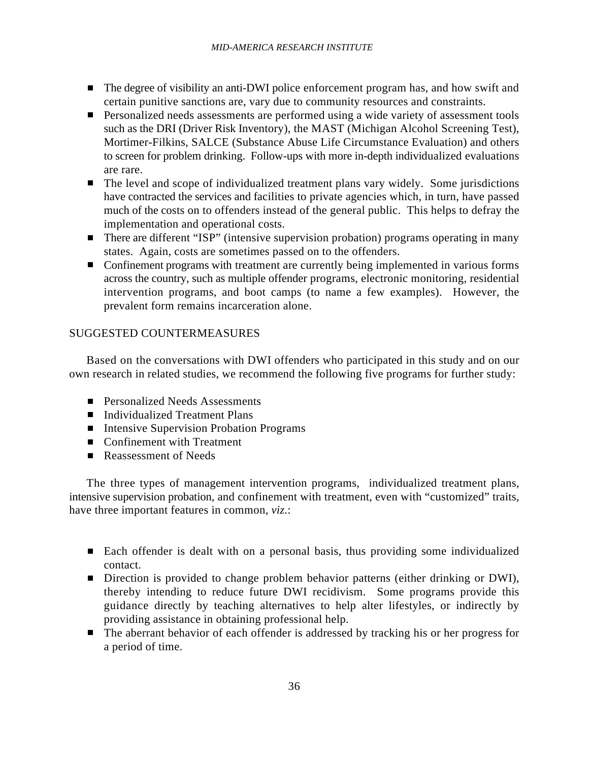- The degree of visibility an anti-DWI police enforcement program has, and how swift and certain punitive sanctions are, vary due to community resources and constraints.
- **Personalized needs assessments are performed using a wide variety of assessment tools** such as the DRI (Driver Risk Inventory), the MAST (Michigan Alcohol Screening Test), Mortimer-Filkins, SALCE (Substance Abuse Life Circumstance Evaluation) and others to screen for problem drinking. Follow-ups with more in-depth individualized evaluations are rare.
- The level and scope of individualized treatment plans vary widely. Some jurisdictions have contracted the services and facilities to private agencies which, in turn, have passed much of the costs on to offenders instead of the general public. This helps to defray the implementation and operational costs.
- There are different "ISP" (intensive supervision probation) programs operating in many states. Again, costs are sometimes passed on to the offenders.
- Confinement programs with treatment are currently being implemented in various forms across the country, such as multiple offender programs, electronic monitoring, residential intervention programs, and boot camps (to name a few examples). However, the prevalent form remains incarceration alone.

## SUGGESTED COUNTERMEASURES

Based on the conversations with DWI offenders who participated in this study and on our own research in related studies, we recommend the following five programs for further study:

- **Personalized Needs Assessments**
- Individualized Treatment Plans
- Intensive Supervision Probation Programs
- Confinement with Treatment
- Reassessment of Needs

The three types of management intervention programs, individualized treatment plans, intensive supervision probation, and confinement with treatment, even with "customized" traits, have three important features in common, *viz.*:

- Each offender is dealt with on a personal basis, thus providing some individualized contact.
- Direction is provided to change problem behavior patterns (either drinking or DWI), thereby intending to reduce future DWI recidivism. Some programs provide this guidance directly by teaching alternatives to help alter lifestyles, or indirectly by providing assistance in obtaining professional help.
- The aberrant behavior of each offender is addressed by tracking his or her progress for a period of time.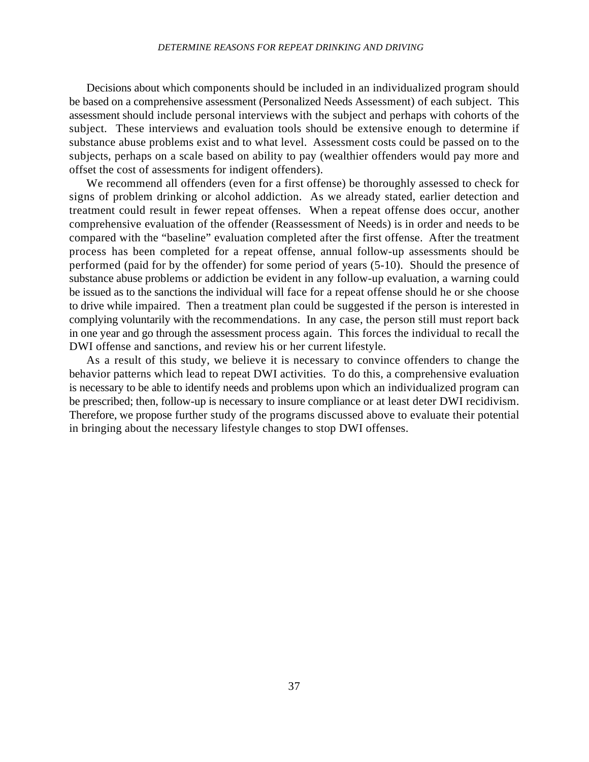#### *DETERMINE REASONS FOR REPEAT DRINKING AND DRIVING*

Decisions about which components should be included in an individualized program should be based on a comprehensive assessment (Personalized Needs Assessment) of each subject. This assessment should include personal interviews with the subject and perhaps with cohorts of the subject. These interviews and evaluation tools should be extensive enough to determine if substance abuse problems exist and to what level. Assessment costs could be passed on to the subjects, perhaps on a scale based on ability to pay (wealthier offenders would pay more and offset the cost of assessments for indigent offenders).

We recommend all offenders (even for a first offense) be thoroughly assessed to check for signs of problem drinking or alcohol addiction. As we already stated, earlier detection and treatment could result in fewer repeat offenses. When a repeat offense does occur, another comprehensive evaluation of the offender (Reassessment of Needs) is in order and needs to be compared with the "baseline" evaluation completed after the first offense. After the treatment process has been completed for a repeat offense, annual follow-up assessments should be performed (paid for by the offender) for some period of years (5-10). Should the presence of substance abuse problems or addiction be evident in any follow-up evaluation, a warning could be issued as to the sanctions the individual will face for a repeat offense should he or she choose to drive while impaired. Then a treatment plan could be suggested if the person is interested in complying voluntarily with the recommendations. In any case, the person still must report back in one year and go through the assessment process again. This forces the individual to recall the DWI offense and sanctions, and review his or her current lifestyle.

As a result of this study, we believe it is necessary to convince offenders to change the behavior patterns which lead to repeat DWI activities. To do this, a comprehensive evaluation is necessary to be able to identify needs and problems upon which an individualized program can be prescribed; then, follow-up is necessary to insure compliance or at least deter DWI recidivism. Therefore, we propose further study of the programs discussed above to evaluate their potential in bringing about the necessary lifestyle changes to stop DWI offenses.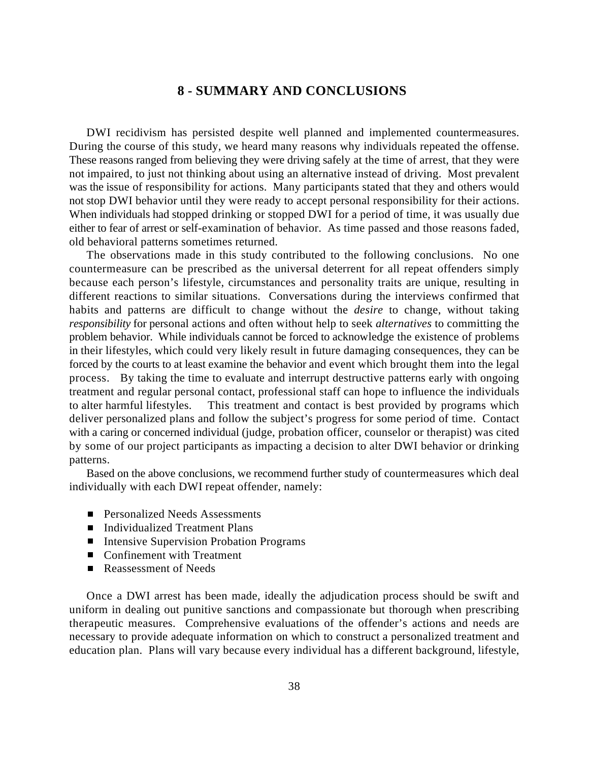## **8 - SUMMARY AND CONCLUSIONS**

DWI recidivism has persisted despite well planned and implemented countermeasures. During the course of this study, we heard many reasons why individuals repeated the offense. These reasons ranged from believing they were driving safely at the time of arrest, that they were not impaired, to just not thinking about using an alternative instead of driving. Most prevalent was the issue of responsibility for actions. Many participants stated that they and others would not stop DWI behavior until they were ready to accept personal responsibility for their actions. When individuals had stopped drinking or stopped DWI for a period of time, it was usually due either to fear of arrest or self-examination of behavior. As time passed and those reasons faded, old behavioral patterns sometimes returned.

The observations made in this study contributed to the following conclusions. No one countermeasure can be prescribed as the universal deterrent for all repeat offenders simply because each person's lifestyle, circumstances and personality traits are unique, resulting in different reactions to similar situations. Conversations during the interviews confirmed that habits and patterns are difficult to change without the *desire* to change, without taking *responsibility* for personal actions and often without help to seek *alternatives* to committing the problem behavior. While individuals cannot be forced to acknowledge the existence of problems in their lifestyles, which could very likely result in future damaging consequences, they can be forced by the courts to at least examine the behavior and event which brought them into the legal process. By taking the time to evaluate and interrupt destructive patterns early with ongoing treatment and regular personal contact, professional staff can hope to influence the individuals to alter harmful lifestyles. This treatment and contact is best provided by programs which deliver personalized plans and follow the subject's progress for some period of time. Contact with a caring or concerned individual (judge, probation officer, counselor or therapist) was cited by some of our project participants as impacting a decision to alter DWI behavior or drinking patterns.

Based on the above conclusions, we recommend further study of countermeasures which deal individually with each DWI repeat offender, namely:

- **Personalized Needs Assessments**
- Individualized Treatment Plans
- Intensive Supervision Probation Programs
- Confinement with Treatment
- Reassessment of Needs

Once a DWI arrest has been made, ideally the adjudication process should be swift and uniform in dealing out punitive sanctions and compassionate but thorough when prescribing therapeutic measures. Comprehensive evaluations of the offender's actions and needs are necessary to provide adequate information on which to construct a personalized treatment and education plan. Plans will vary because every individual has a different background, lifestyle,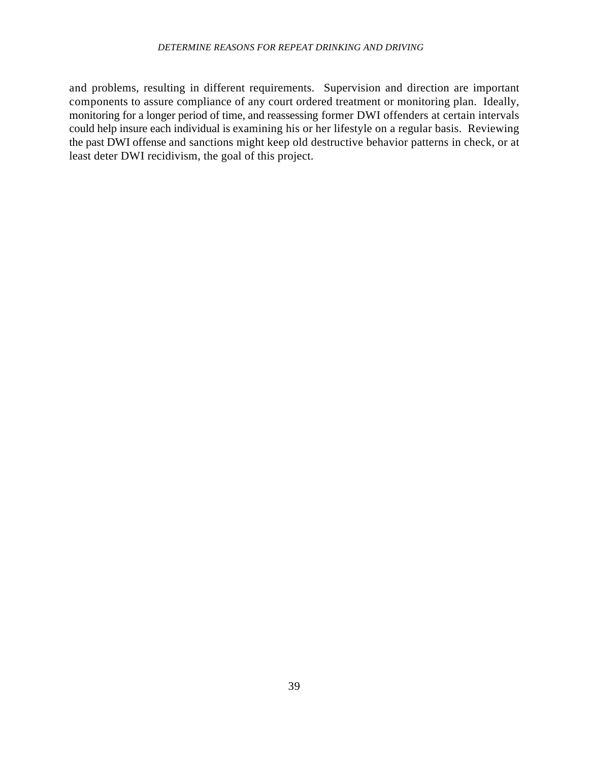## *DETERMINE REASONS FOR REPEAT DRINKING AND DRIVING*

and problems, resulting in different requirements. Supervision and direction are important components to assure compliance of any court ordered treatment or monitoring plan. Ideally, monitoring for a longer period of time, and reassessing former DWI offenders at certain intervals could help insure each individual is examining his or her lifestyle on a regular basis. Reviewing the past DWI offense and sanctions might keep old destructive behavior patterns in check, or at least deter DWI recidivism, the goal of this project.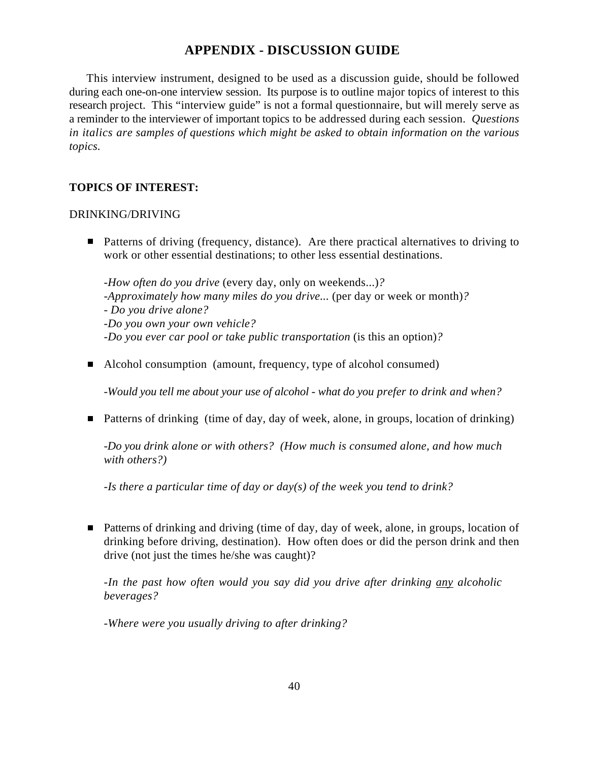## **APPENDIX - DISCUSSION GUIDE**

This interview instrument, designed to be used as a discussion guide, should be followed during each one-on-one interview session. Its purpose is to outline major topics of interest to this research project. This "interview guide" is not a formal questionnaire, but will merely serve as a reminder to the interviewer of important topics to be addressed during each session. *Questions in italics are samples of questions which might be asked to obtain information on the various topics.*

## **TOPICS OF INTEREST:**

## DRINKING/DRIVING

■ Patterns of driving (frequency, distance). Are there practical alternatives to driving to work or other essential destinations; to other less essential destinations.

-*How often do you drive* (every day, only on weekends...)*?* -*Approximately how many miles do you drive...* (per day or week or month)*?* - *Do you drive alone?*  -*Do you own your own vehicle?* -*Do you ever car pool or take public transportation* (is this an option)*?*

■ Alcohol consumption (amount, frequency, type of alcohol consumed)

*-Would you tell me about your use of alcohol - what do you prefer to drink and when?*

■ Patterns of drinking (time of day, day of week, alone, in groups, location of drinking)

*-Do you drink alone or with others? (How much is consumed alone, and how much with others?)*

*-Is there a particular time of day or day(s) of the week you tend to drink?*

■ Patterns of drinking and driving (time of day, day of week, alone, in groups, location of drinking before driving, destination). How often does or did the person drink and then drive (not just the times he/she was caught)?

*-In the past how often would you say did you drive after drinking any alcoholic beverages?*

*-Where were you usually driving to after drinking?*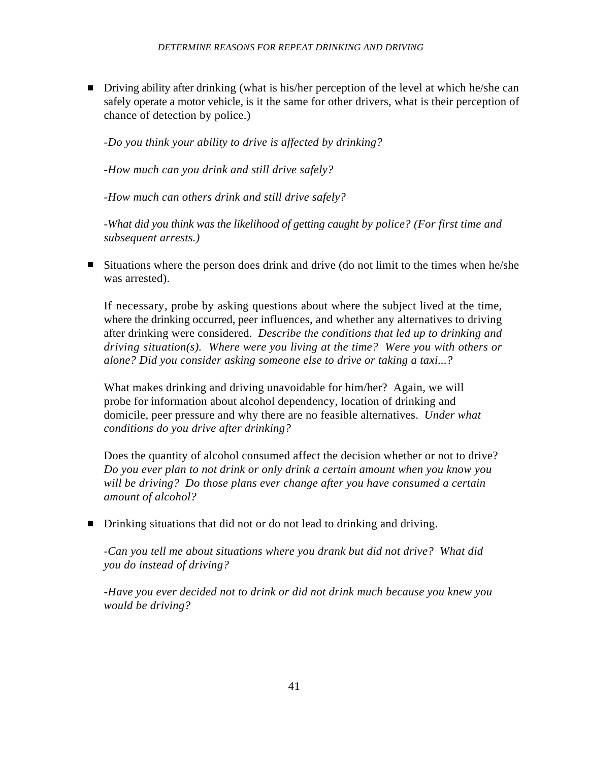■ Driving ability after drinking (what is his/her perception of the level at which he/she can safely operate a motor vehicle, is it the same for other drivers, what is their perception of chance of detection by police.)

*-Do you think your ability to drive is affected by drinking?*

*-How much can you drink and still drive safely?*

*-How much can others drink and still drive safely?*

*-What did you think was the likelihood of getting caught by police? (For first time and subsequent arrests.)*

Situations where the person does drink and drive (do not limit to the times when he/she was arrested).

If necessary, probe by asking questions about where the subject lived at the time, where the drinking occurred, peer influences, and whether any alternatives to driving after drinking were considered. *Describe the conditions that led up to drinking and driving situation(s). Where were you living at the time? Were you with others or alone? Did you consider asking someone else to drive or taking a taxi...?* 

What makes drinking and driving unavoidable for him/her? Again, we will probe for information about alcohol dependency, location of drinking and domicile, peer pressure and why there are no feasible alternatives. *Under what conditions do you drive after drinking?*

Does the quantity of alcohol consumed affect the decision whether or not to drive? *Do you ever plan to not drink or only drink a certain amount when you know you will be driving? Do those plans ever change after you have consumed a certain amount of alcohol?* 

■ Drinking situations that did not or do not lead to drinking and driving.

-*Can you tell me about situations where you drank but did not drive? What did you do instead of driving?*

*-Have you ever decided not to drink or did not drink much because you knew you would be driving?*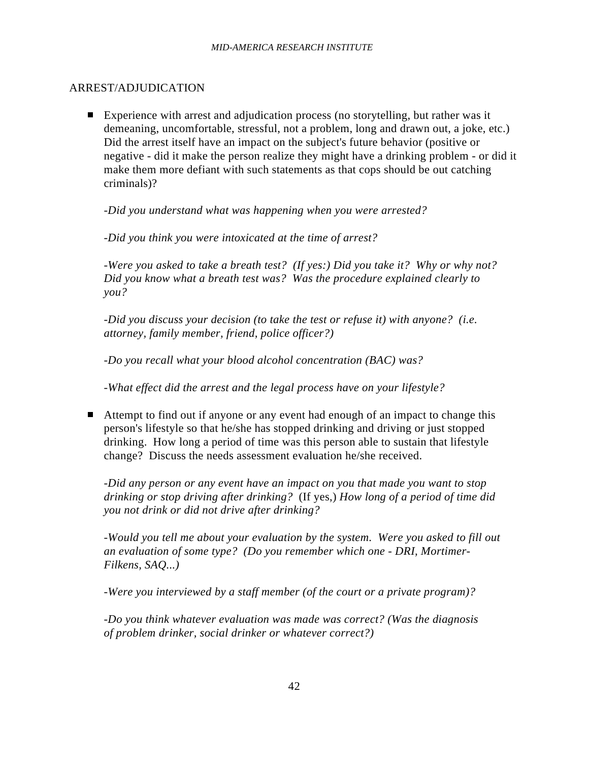## ARREST/ADJUDICATION

Experience with arrest and adjudication process (no storytelling, but rather was it demeaning, uncomfortable, stressful, not a problem, long and drawn out, a joke, etc.) Did the arrest itself have an impact on the subject's future behavior (positive or negative - did it make the person realize they might have a drinking problem - or did it make them more defiant with such statements as that cops should be out catching criminals)?

*-Did you understand what was happening when you were arrested?*

*-Did you think you were intoxicated at the time of arrest?*

*-Were you asked to take a breath test? (If yes:) Did you take it? Why or why not? Did you know what a breath test was? Was the procedure explained clearly to you?*

*-Did you discuss your decision (to take the test or refuse it) with anyone? (i.e. attorney, family member, friend, police officer?)*

*-Do you recall what your blood alcohol concentration (BAC) was?*

*-What effect did the arrest and the legal process have on your lifestyle?*

■ Attempt to find out if anyone or any event had enough of an impact to change this person's lifestyle so that he/she has stopped drinking and driving or just stopped drinking. How long a period of time was this person able to sustain that lifestyle change? Discuss the needs assessment evaluation he/she received.

*-Did any person or any event have an impact on you that made you want to stop drinking or stop driving after drinking?* (If yes,) *How long of a period of time did you not drink or did not drive after drinking?*

*-Would you tell me about your evaluation by the system. Were you asked to fill out an evaluation of some type? (Do you remember which one - DRI, Mortimer-Filkens, SAQ...)* 

*-Were you interviewed by a staff member (of the court or a private program)?* 

*-Do you think whatever evaluation was made was correct? (Was the diagnosis of problem drinker, social drinker or whatever correct?)*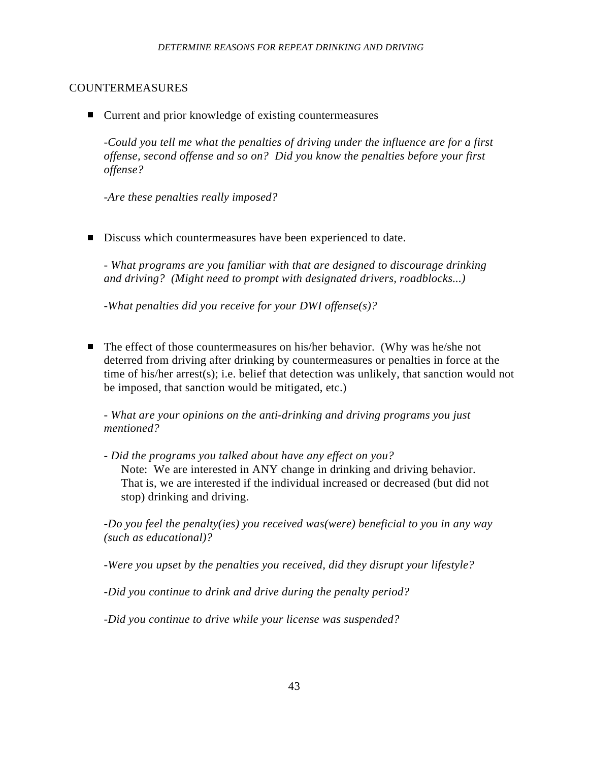## COUNTERMEASURES

■ Current and prior knowledge of existing countermeasures

*-Could you tell me what the penalties of driving under the influence are for a first offense, second offense and so on? Did you know the penalties before your first offense?*

*-Are these penalties really imposed?*

Discuss which countermeasures have been experienced to date.

*- What programs are you familiar with that are designed to discourage drinking and driving? (Might need to prompt with designated drivers, roadblocks...)*

*-What penalties did you receive for your DWI offense(s)?*

■ The effect of those countermeasures on his/her behavior. (Why was he/she not deterred from driving after drinking by countermeasures or penalties in force at the time of his/her arrest(s); i.e. belief that detection was unlikely, that sanction would not be imposed, that sanction would be mitigated, etc.)

*- What are your opinions on the anti-drinking and driving programs you just mentioned?*

*- Did the programs you talked about have any effect on you?* Note: We are interested in ANY change in drinking and driving behavior. That is, we are interested if the individual increased or decreased (but did not stop) drinking and driving.

*-Do you feel the penalty(ies) you received was(were) beneficial to you in any way (such as educational)?*

*-Were you upset by the penalties you received, did they disrupt your lifestyle?*

*-Did you continue to drink and drive during the penalty period?*

*-Did you continue to drive while your license was suspended?*